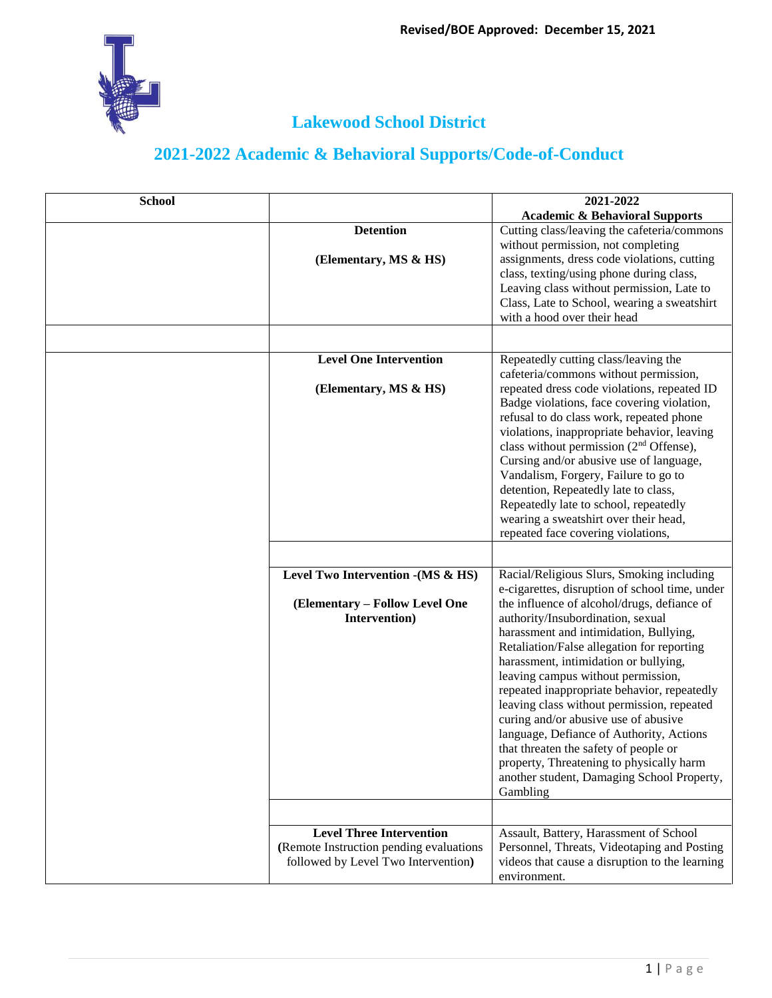

| <b>School</b> |                                         | 2021-2022                                                                         |
|---------------|-----------------------------------------|-----------------------------------------------------------------------------------|
|               |                                         | <b>Academic &amp; Behavioral Supports</b>                                         |
|               | <b>Detention</b>                        | Cutting class/leaving the cafeteria/commons                                       |
|               |                                         | without permission, not completing                                                |
|               | (Elementary, MS & HS)                   | assignments, dress code violations, cutting                                       |
|               |                                         | class, texting/using phone during class,                                          |
|               |                                         | Leaving class without permission, Late to                                         |
|               |                                         | Class, Late to School, wearing a sweatshirt                                       |
|               |                                         | with a hood over their head                                                       |
|               |                                         |                                                                                   |
|               | <b>Level One Intervention</b>           | Repeatedly cutting class/leaving the<br>cafeteria/commons without permission,     |
|               | (Elementary, MS & HS)                   | repeated dress code violations, repeated ID                                       |
|               |                                         | Badge violations, face covering violation,                                        |
|               |                                         | refusal to do class work, repeated phone                                          |
|               |                                         | violations, inappropriate behavior, leaving                                       |
|               |                                         | class without permission (2 <sup>nd</sup> Offense),                               |
|               |                                         | Cursing and/or abusive use of language,                                           |
|               |                                         | Vandalism, Forgery, Failure to go to                                              |
|               |                                         | detention, Repeatedly late to class,                                              |
|               |                                         | Repeatedly late to school, repeatedly                                             |
|               |                                         | wearing a sweatshirt over their head,                                             |
|               |                                         | repeated face covering violations,                                                |
|               |                                         |                                                                                   |
|               | Level Two Intervention - (MS & HS)      | Racial/Religious Slurs, Smoking including                                         |
|               |                                         | e-cigarettes, disruption of school time, under                                    |
|               | (Elementary – Follow Level One          | the influence of alcohol/drugs, defiance of                                       |
|               | Intervention)                           | authority/Insubordination, sexual                                                 |
|               |                                         | harassment and intimidation, Bullying,                                            |
|               |                                         | Retaliation/False allegation for reporting                                        |
|               |                                         | harassment, intimidation or bullying,                                             |
|               |                                         | leaving campus without permission,<br>repeated inappropriate behavior, repeatedly |
|               |                                         | leaving class without permission, repeated                                        |
|               |                                         | curing and/or abusive use of abusive                                              |
|               |                                         | language, Defiance of Authority, Actions                                          |
|               |                                         | that threaten the safety of people or                                             |
|               |                                         | property, Threatening to physically harm                                          |
|               |                                         | another student, Damaging School Property,                                        |
|               |                                         | Gambling                                                                          |
|               |                                         |                                                                                   |
|               | <b>Level Three Intervention</b>         | Assault, Battery, Harassment of School                                            |
|               | (Remote Instruction pending evaluations | Personnel, Threats, Videotaping and Posting                                       |
|               | followed by Level Two Intervention)     | videos that cause a disruption to the learning                                    |
|               |                                         | environment.                                                                      |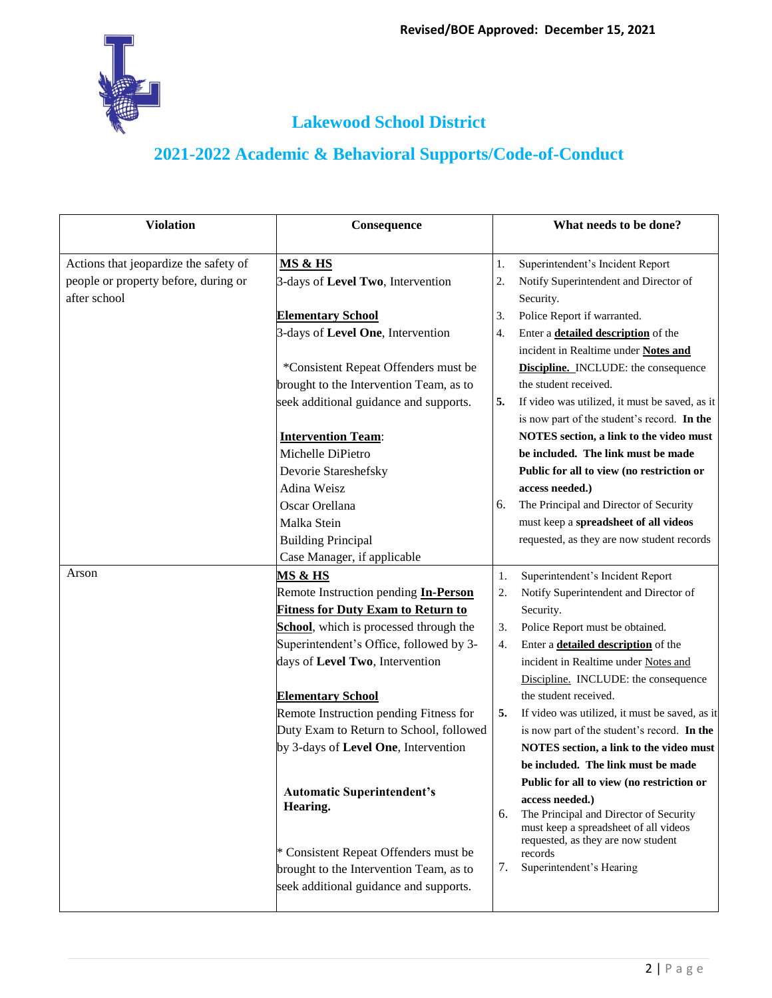

| <b>Violation</b>                      | Consequence                                   |    | What needs to be done?                                                      |
|---------------------------------------|-----------------------------------------------|----|-----------------------------------------------------------------------------|
| Actions that jeopardize the safety of | <b>MS &amp; HS</b>                            | 1. | Superintendent's Incident Report                                            |
| people or property before, during or  | 3-days of Level Two, Intervention             | 2. | Notify Superintendent and Director of                                       |
| after school                          |                                               |    | Security.                                                                   |
|                                       | <b>Elementary School</b>                      | 3. | Police Report if warranted.                                                 |
|                                       | 3-days of Level One, Intervention             | 4. | Enter a <b>detailed description</b> of the                                  |
|                                       |                                               |    | incident in Realtime under Notes and                                        |
|                                       | *Consistent Repeat Offenders must be          |    | <b>Discipline.</b> INCLUDE: the consequence                                 |
|                                       | brought to the Intervention Team, as to       |    | the student received.                                                       |
|                                       | seek additional guidance and supports.        | 5. | If video was utilized, it must be saved, as it                              |
|                                       |                                               |    | is now part of the student's record. In the                                 |
|                                       | <b>Intervention Team:</b>                     |    | NOTES section, a link to the video must                                     |
|                                       | Michelle DiPietro                             |    | be included. The link must be made                                          |
|                                       | Devorie Stareshefsky                          |    | Public for all to view (no restriction or                                   |
|                                       | Adina Weisz                                   |    | access needed.)                                                             |
|                                       | Oscar Orellana                                | 6. | The Principal and Director of Security                                      |
|                                       | Malka Stein                                   |    | must keep a spreadsheet of all videos                                       |
|                                       | <b>Building Principal</b>                     |    | requested, as they are now student records                                  |
|                                       | Case Manager, if applicable                   |    |                                                                             |
| Arson                                 | <u>MS &amp; HS</u>                            | 1. | Superintendent's Incident Report                                            |
|                                       | Remote Instruction pending <i>In-Person</i>   | 2. | Notify Superintendent and Director of                                       |
|                                       | <b>Fitness for Duty Exam to Return to</b>     |    | Security.                                                                   |
|                                       | School, which is processed through the        | 3. | Police Report must be obtained.                                             |
|                                       | Superintendent's Office, followed by 3-       | 4. | Enter a <b>detailed description</b> of the                                  |
|                                       | days of Level Two, Intervention               |    | incident in Realtime under Notes and                                        |
|                                       |                                               |    | Discipline. INCLUDE: the consequence                                        |
|                                       | <b>Elementary School</b>                      |    | the student received.                                                       |
|                                       | Remote Instruction pending Fitness for        | 5. | If video was utilized, it must be saved, as it                              |
|                                       | Duty Exam to Return to School, followed       |    | is now part of the student's record. In the                                 |
|                                       | by 3-days of Level One, Intervention          |    | NOTES section, a link to the video must                                     |
|                                       |                                               |    | be included. The link must be made                                          |
|                                       |                                               |    | Public for all to view (no restriction or                                   |
|                                       | <b>Automatic Superintendent's</b><br>Hearing. |    | access needed.)                                                             |
|                                       |                                               | 6. | The Principal and Director of Security                                      |
|                                       |                                               |    | must keep a spreadsheet of all videos<br>requested, as they are now student |
|                                       | * Consistent Repeat Offenders must be         |    | records                                                                     |
|                                       | brought to the Intervention Team, as to       | 7. | Superintendent's Hearing                                                    |
|                                       | seek additional guidance and supports.        |    |                                                                             |
|                                       |                                               |    |                                                                             |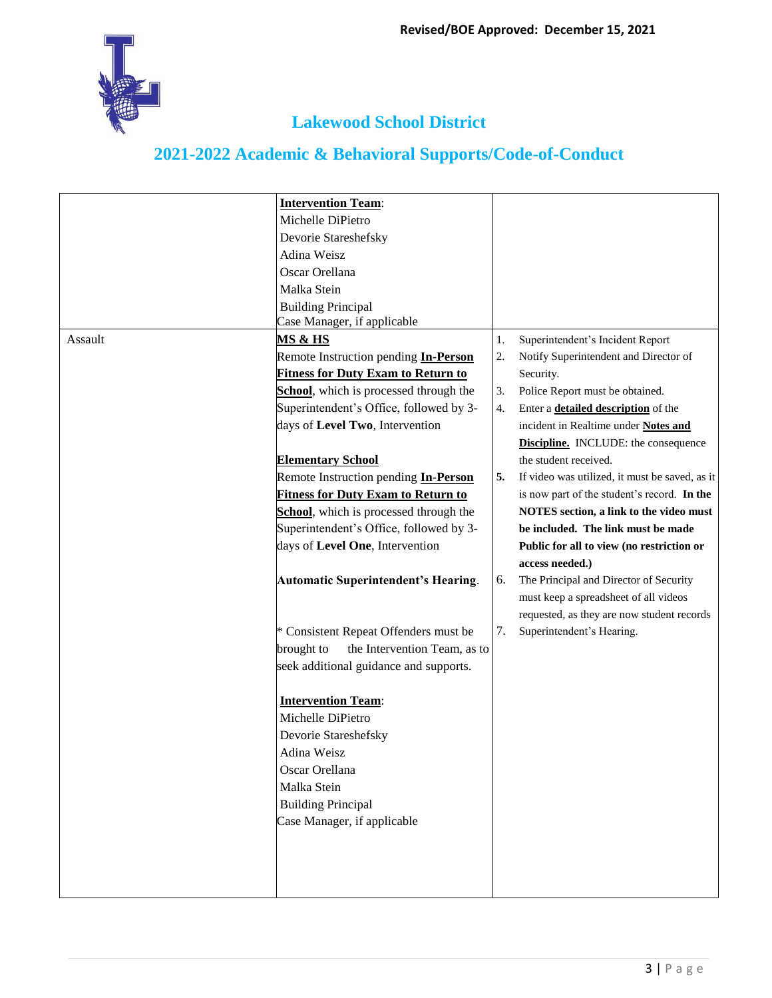

|         | <b>Intervention Team:</b>                   |    |                                                |
|---------|---------------------------------------------|----|------------------------------------------------|
|         | Michelle DiPietro                           |    |                                                |
|         | Devorie Stareshefsky                        |    |                                                |
|         | Adina Weisz                                 |    |                                                |
|         | Oscar Orellana                              |    |                                                |
|         | Malka Stein                                 |    |                                                |
|         | <b>Building Principal</b>                   |    |                                                |
|         | Case Manager, if applicable                 |    |                                                |
| Assault | <u>MS &amp; HS</u>                          | 1. | Superintendent's Incident Report               |
|         | Remote Instruction pending <b>In-Person</b> | 2. | Notify Superintendent and Director of          |
|         | <b>Fitness for Duty Exam to Return to</b>   |    | Security.                                      |
|         | School, which is processed through the      | 3. | Police Report must be obtained.                |
|         | Superintendent's Office, followed by 3-     | 4. | Enter a <b>detailed description</b> of the     |
|         |                                             |    |                                                |
|         | days of Level Two, Intervention             |    | incident in Realtime under Notes and           |
|         |                                             |    | <b>Discipline.</b> INCLUDE: the consequence    |
|         | <b>Elementary School</b>                    |    | the student received.                          |
|         | Remote Instruction pending <b>In-Person</b> | 5. | If video was utilized, it must be saved, as it |
|         | <b>Fitness for Duty Exam to Return to</b>   |    | is now part of the student's record. In the    |
|         | School, which is processed through the      |    | NOTES section, a link to the video must        |
|         | Superintendent's Office, followed by 3-     |    | be included. The link must be made             |
|         | days of Level One, Intervention             |    | Public for all to view (no restriction or      |
|         |                                             |    | access needed.)                                |
|         | <b>Automatic Superintendent's Hearing.</b>  | 6. | The Principal and Director of Security         |
|         |                                             |    | must keep a spreadsheet of all videos          |
|         |                                             |    | requested, as they are now student records     |
|         | * Consistent Repeat Offenders must be       | 7. | Superintendent's Hearing.                      |
|         | the Intervention Team, as to<br>brought to  |    |                                                |
|         | seek additional guidance and supports.      |    |                                                |
|         |                                             |    |                                                |
|         | <b>Intervention Team:</b>                   |    |                                                |
|         | Michelle DiPietro                           |    |                                                |
|         | Devorie Stareshefsky                        |    |                                                |
|         | Adina Weisz                                 |    |                                                |
|         | Oscar Orellana                              |    |                                                |
|         | Malka Stein                                 |    |                                                |
|         | <b>Building Principal</b>                   |    |                                                |
|         | Case Manager, if applicable                 |    |                                                |
|         |                                             |    |                                                |
|         |                                             |    |                                                |
|         |                                             |    |                                                |
|         |                                             |    |                                                |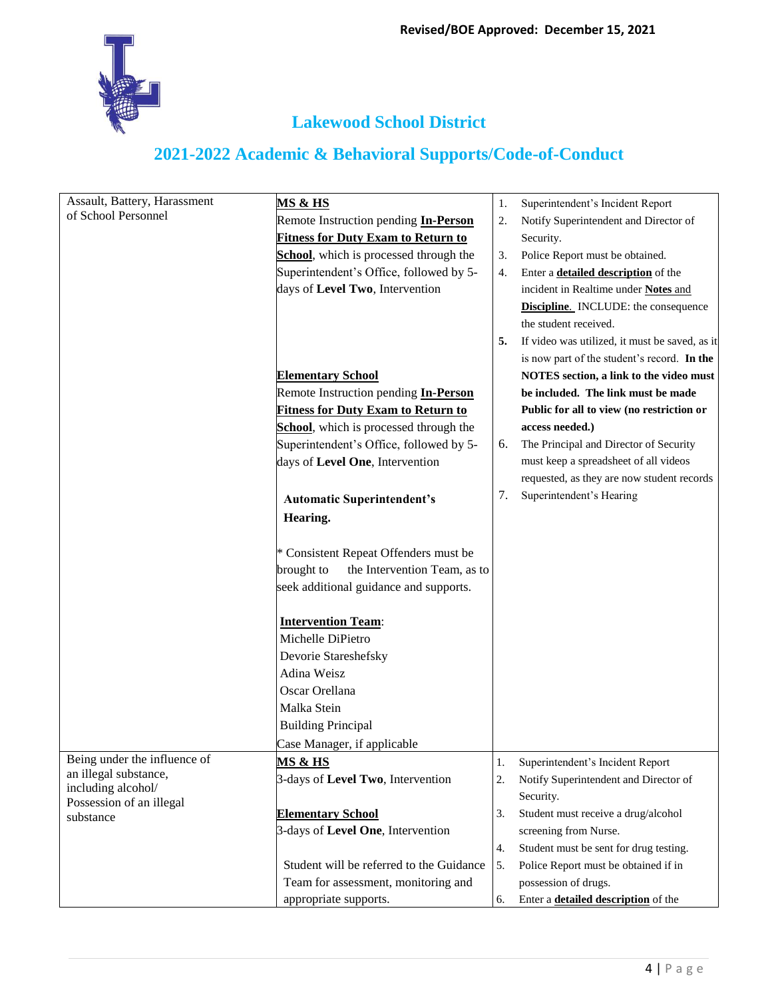| Assault, Battery, Harassment | <u>MS &amp; HS</u>                          | 1. | Superintendent's Incident Report               |
|------------------------------|---------------------------------------------|----|------------------------------------------------|
| of School Personnel          | Remote Instruction pending <b>In-Person</b> | 2. | Notify Superintendent and Director of          |
|                              | <b>Fitness for Duty Exam to Return to</b>   |    | Security.                                      |
|                              | School, which is processed through the      | 3. | Police Report must be obtained.                |
|                              | Superintendent's Office, followed by 5-     | 4. | Enter a <b>detailed description</b> of the     |
|                              | days of Level Two, Intervention             |    | incident in Realtime under Notes and           |
|                              |                                             |    | <b>Discipline.</b> INCLUDE: the consequence    |
|                              |                                             |    | the student received.                          |
|                              |                                             | 5. | If video was utilized, it must be saved, as it |
|                              |                                             |    | is now part of the student's record. In the    |
|                              | <b>Elementary School</b>                    |    | NOTES section, a link to the video must        |
|                              | Remote Instruction pending <i>In-Person</i> |    | be included. The link must be made             |
|                              |                                             |    |                                                |
|                              | <b>Fitness for Duty Exam to Return to</b>   |    | Public for all to view (no restriction or      |
|                              | School, which is processed through the      |    | access needed.)                                |
|                              | Superintendent's Office, followed by 5-     | 6. | The Principal and Director of Security         |
|                              | days of Level One, Intervention             |    | must keep a spreadsheet of all videos          |
|                              |                                             |    | requested, as they are now student records     |
|                              | <b>Automatic Superintendent's</b>           | 7. | Superintendent's Hearing                       |
|                              | Hearing.                                    |    |                                                |
|                              |                                             |    |                                                |
|                              | * Consistent Repeat Offenders must be       |    |                                                |
|                              | the Intervention Team, as to<br>brought to  |    |                                                |
|                              | seek additional guidance and supports.      |    |                                                |
|                              |                                             |    |                                                |
|                              | <b>Intervention Team:</b>                   |    |                                                |
|                              | Michelle DiPietro                           |    |                                                |
|                              | Devorie Stareshefsky                        |    |                                                |
|                              | Adina Weisz                                 |    |                                                |
|                              | Oscar Orellana                              |    |                                                |
|                              | Malka Stein                                 |    |                                                |
|                              | <b>Building Principal</b>                   |    |                                                |
|                              | Case Manager, if applicable                 |    |                                                |
| Being under the influence of | <u>MS &amp; HS</u>                          | 1. | Superintendent's Incident Report               |
| an illegal substance,        | 3-days of Level Two, Intervention           | 2. | Notify Superintendent and Director of          |
| including alcohol/           |                                             |    | Security.                                      |
| Possession of an illegal     | <b>Elementary School</b>                    | 3. | Student must receive a drug/alcohol            |
| substance                    | 3-days of Level One, Intervention           |    | screening from Nurse.                          |
|                              |                                             | 4. | Student must be sent for drug testing.         |
|                              | Student will be referred to the Guidance    | 5. | Police Report must be obtained if in           |
|                              | Team for assessment, monitoring and         |    | possession of drugs.                           |
|                              |                                             |    |                                                |
|                              | appropriate supports.                       | 6. | Enter a <b>detailed description</b> of the     |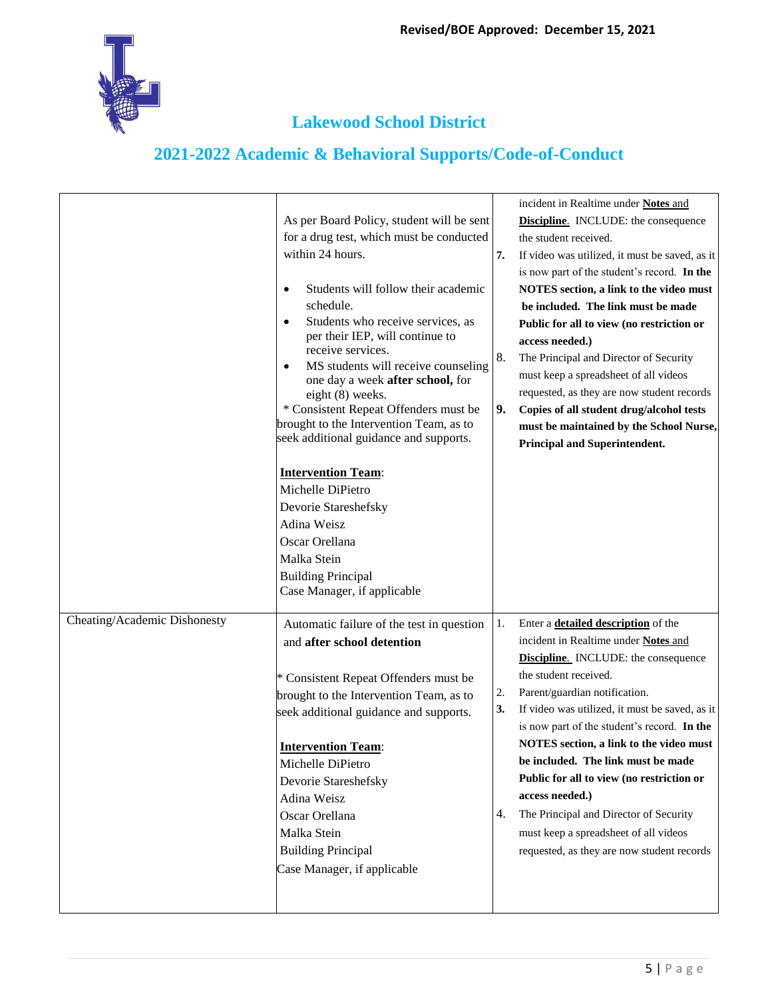

|                              | As per Board Policy, student will be sent<br>for a drug test, which must be conducted<br>within 24 hours.<br>Students will follow their academic<br>schedule.<br>Students who receive services, as<br>٠<br>per their IEP, will continue to<br>receive services.<br>MS students will receive counseling<br>٠<br>one day a week after school, for<br>eight (8) weeks.<br>* Consistent Repeat Offenders must be<br>brought to the Intervention Team, as to<br>seek additional guidance and supports.<br><b>Intervention Team:</b><br>Michelle DiPietro<br>Devorie Stareshefsky<br>Adina Weisz<br>Oscar Orellana<br>Malka Stein<br><b>Building Principal</b><br>Case Manager, if applicable | 7.<br>8.<br>9.       | incident in Realtime under Notes and<br><b>Discipline.</b> INCLUDE: the consequence<br>the student received.<br>If video was utilized, it must be saved, as it<br>is now part of the student's record. In the<br>NOTES section, a link to the video must<br>be included. The link must be made<br>Public for all to view (no restriction or<br>access needed.)<br>The Principal and Director of Security<br>must keep a spreadsheet of all videos<br>requested, as they are now student records<br>Copies of all student drug/alcohol tests<br>must be maintained by the School Nurse,<br>Principal and Superintendent. |
|------------------------------|-----------------------------------------------------------------------------------------------------------------------------------------------------------------------------------------------------------------------------------------------------------------------------------------------------------------------------------------------------------------------------------------------------------------------------------------------------------------------------------------------------------------------------------------------------------------------------------------------------------------------------------------------------------------------------------------|----------------------|-------------------------------------------------------------------------------------------------------------------------------------------------------------------------------------------------------------------------------------------------------------------------------------------------------------------------------------------------------------------------------------------------------------------------------------------------------------------------------------------------------------------------------------------------------------------------------------------------------------------------|
| Cheating/Academic Dishonesty | Automatic failure of the test in question<br>and after school detention<br>* Consistent Repeat Offenders must be<br>brought to the Intervention Team, as to<br>seek additional guidance and supports.<br><b>Intervention Team:</b><br>Michelle DiPietro<br>Devorie Stareshefsky<br>Adina Weisz<br>Oscar Orellana<br>Malka Stein<br><b>Building Principal</b><br>Case Manager, if applicable                                                                                                                                                                                                                                                                                             | 1.<br>2.<br>3.<br>4. | Enter a <b>detailed description</b> of the<br>incident in Realtime under Notes and<br><b>Discipline.</b> INCLUDE: the consequence<br>the student received.<br>Parent/guardian notification.<br>If video was utilized, it must be saved, as it<br>is now part of the student's record. In the<br>NOTES section, a link to the video must<br>be included. The link must be made<br>Public for all to view (no restriction or<br>access needed.)<br>The Principal and Director of Security<br>must keep a spreadsheet of all videos<br>requested, as they are now student records                                          |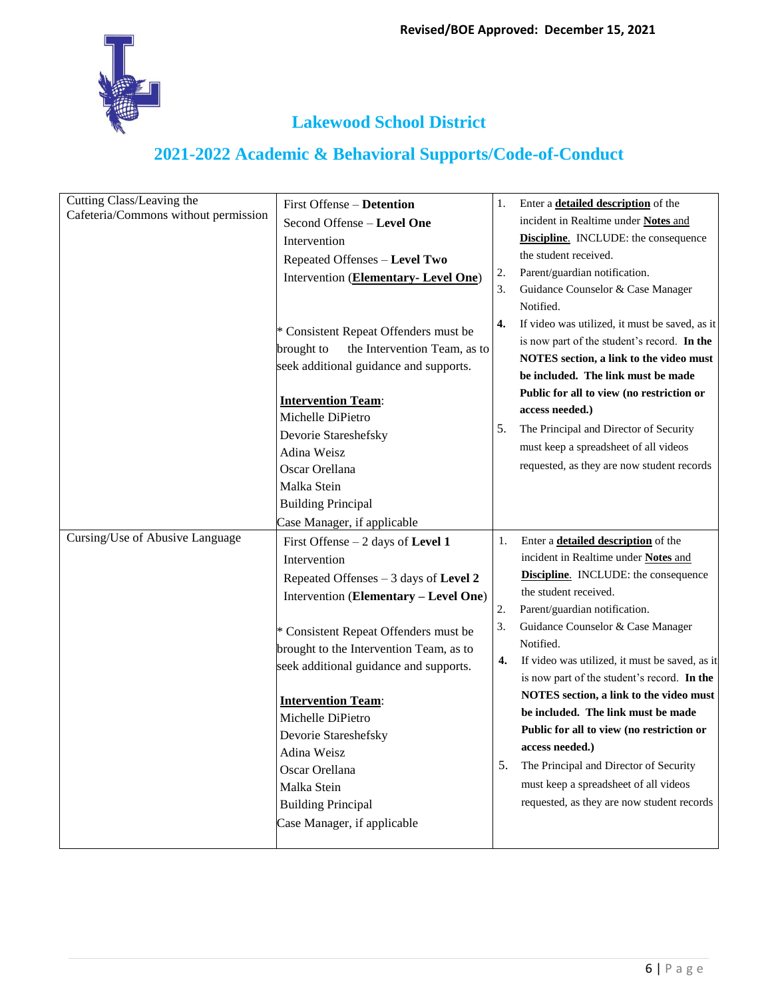

| Cutting Class/Leaving the<br>Cafeteria/Commons without permission | First Offense – Detention<br>Second Offense - Level One<br>Intervention<br>Repeated Offenses - Level Two<br>Intervention (Elementary- Level One)                                                                                                                                                                                                                                                                                                          | 1.<br>2.<br>3.             | Enter a <b>detailed description</b> of the<br>incident in Realtime under Notes and<br><b>Discipline.</b> INCLUDE: the consequence<br>the student received.<br>Parent/guardian notification.<br>Guidance Counselor & Case Manager<br>Notified.                                                                                                                                                                                                                                                                                                                                                                                    |
|-------------------------------------------------------------------|-----------------------------------------------------------------------------------------------------------------------------------------------------------------------------------------------------------------------------------------------------------------------------------------------------------------------------------------------------------------------------------------------------------------------------------------------------------|----------------------------|----------------------------------------------------------------------------------------------------------------------------------------------------------------------------------------------------------------------------------------------------------------------------------------------------------------------------------------------------------------------------------------------------------------------------------------------------------------------------------------------------------------------------------------------------------------------------------------------------------------------------------|
|                                                                   | * Consistent Repeat Offenders must be<br>the Intervention Team, as to<br>brought to<br>seek additional guidance and supports.<br><b>Intervention Team:</b><br>Michelle DiPietro<br>Devorie Stareshefsky<br>Adina Weisz<br>Oscar Orellana<br>Malka Stein<br><b>Building Principal</b><br>Case Manager, if applicable                                                                                                                                       | 4.<br>5.                   | If video was utilized, it must be saved, as it<br>is now part of the student's record. In the<br>NOTES section, a link to the video must<br>be included. The link must be made<br>Public for all to view (no restriction or<br>access needed.)<br>The Principal and Director of Security<br>must keep a spreadsheet of all videos<br>requested, as they are now student records                                                                                                                                                                                                                                                  |
| Cursing/Use of Abusive Language                                   | First Offense $-2$ days of Level 1<br>Intervention<br>Repeated Offenses $-3$ days of Level 2<br>Intervention (Elementary - Level One)<br>* Consistent Repeat Offenders must be<br>brought to the Intervention Team, as to<br>seek additional guidance and supports.<br><b>Intervention Team:</b><br>Michelle DiPietro<br>Devorie Stareshefsky<br>Adina Weisz<br>Oscar Orellana<br>Malka Stein<br><b>Building Principal</b><br>Case Manager, if applicable | 1.<br>2.<br>3.<br>4.<br>5. | Enter a <b>detailed description</b> of the<br>incident in Realtime under <b>Notes</b> and<br>Discipline. INCLUDE: the consequence<br>the student received.<br>Parent/guardian notification.<br>Guidance Counselor & Case Manager<br>Notified.<br>If video was utilized, it must be saved, as it<br>is now part of the student's record. In the<br>NOTES section, a link to the video must<br>be included. The link must be made<br>Public for all to view (no restriction or<br>access needed.)<br>The Principal and Director of Security<br>must keep a spreadsheet of all videos<br>requested, as they are now student records |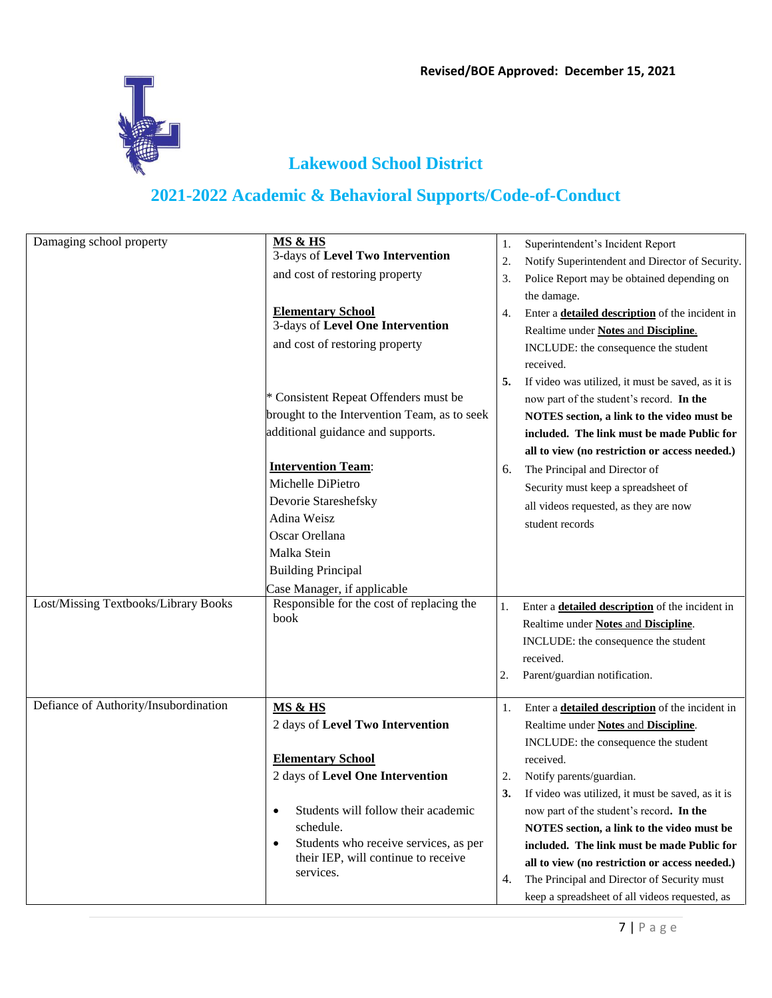

| Damaging school property              | MS & HS<br>3-days of Level Two Intervention<br>and cost of restoring property<br><b>Elementary School</b><br>3-days of Level One Intervention<br>and cost of restoring property<br>* Consistent Repeat Offenders must be<br>brought to the Intervention Team, as to seek<br>additional guidance and supports.<br><b>Intervention Team:</b><br>Michelle DiPietro<br>Devorie Stareshefsky<br>Adina Weisz<br>Oscar Orellana<br>Malka Stein | 1.<br>2.<br>3.<br>4.<br>5.<br>6. | Superintendent's Incident Report<br>Notify Superintendent and Director of Security.<br>Police Report may be obtained depending on<br>the damage.<br>Enter a <b>detailed description</b> of the incident in<br>Realtime under Notes and Discipline.<br>INCLUDE: the consequence the student<br>received.<br>If video was utilized, it must be saved, as it is<br>now part of the student's record. In the<br>NOTES section, a link to the video must be<br>included. The link must be made Public for<br>all to view (no restriction or access needed.)<br>The Principal and Director of<br>Security must keep a spreadsheet of<br>all videos requested, as they are now<br>student records |
|---------------------------------------|-----------------------------------------------------------------------------------------------------------------------------------------------------------------------------------------------------------------------------------------------------------------------------------------------------------------------------------------------------------------------------------------------------------------------------------------|----------------------------------|--------------------------------------------------------------------------------------------------------------------------------------------------------------------------------------------------------------------------------------------------------------------------------------------------------------------------------------------------------------------------------------------------------------------------------------------------------------------------------------------------------------------------------------------------------------------------------------------------------------------------------------------------------------------------------------------|
|                                       | <b>Building Principal</b><br>Case Manager, if applicable                                                                                                                                                                                                                                                                                                                                                                                |                                  |                                                                                                                                                                                                                                                                                                                                                                                                                                                                                                                                                                                                                                                                                            |
| Lost/Missing Textbooks/Library Books  | Responsible for the cost of replacing the<br>book                                                                                                                                                                                                                                                                                                                                                                                       | 1.<br>2.                         | Enter a <b>detailed description</b> of the incident in<br>Realtime under Notes and Discipline.<br>INCLUDE: the consequence the student<br>received.<br>Parent/guardian notification.                                                                                                                                                                                                                                                                                                                                                                                                                                                                                                       |
| Defiance of Authority/Insubordination | <b>MS &amp; HS</b><br>2 days of Level Two Intervention<br><b>Elementary School</b><br>2 days of Level One Intervention<br>Students will follow their academic<br>schedule.<br>Students who receive services, as per<br>their IEP, will continue to receive<br>services.                                                                                                                                                                 | 1.<br>2.<br>3.<br>4.             | Enter a <b>detailed description</b> of the incident in<br>Realtime under Notes and Discipline.<br>INCLUDE: the consequence the student<br>received.<br>Notify parents/guardian.<br>If video was utilized, it must be saved, as it is<br>now part of the student's record. In the<br>NOTES section, a link to the video must be<br>included. The link must be made Public for<br>all to view (no restriction or access needed.)<br>The Principal and Director of Security must<br>keep a spreadsheet of all videos requested, as                                                                                                                                                            |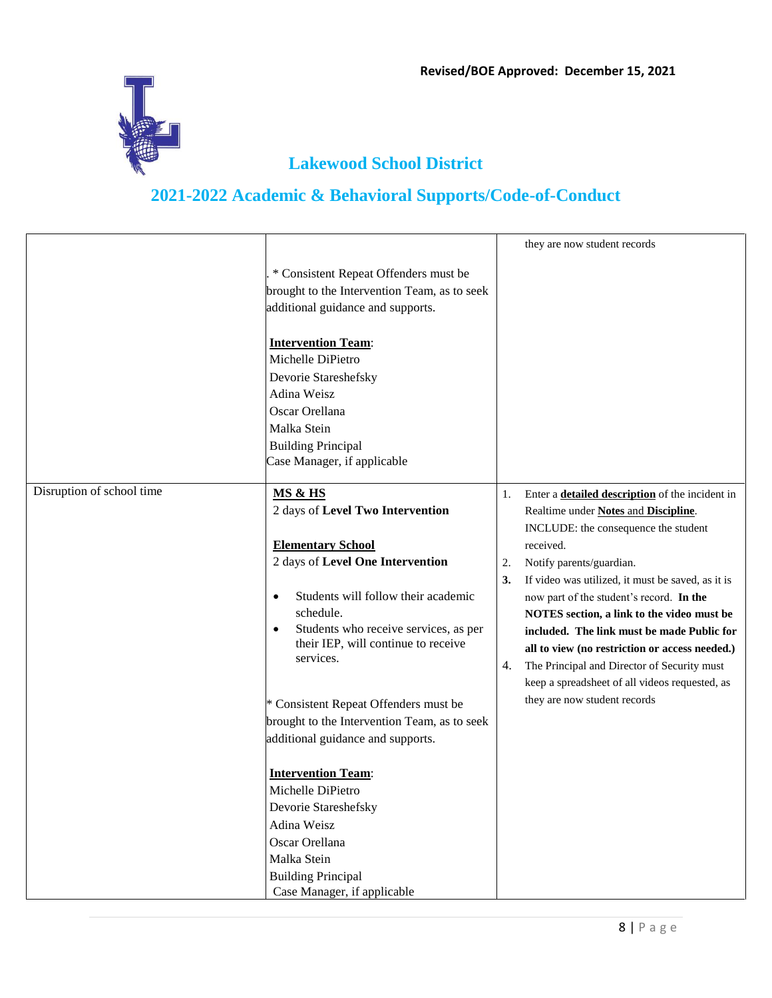

|                           |                                                                                                                                                                                                                                                                                                                  | they are now student records                                                                                                                                                                                                                                                                                                                                                                                                                                                                                                                            |
|---------------------------|------------------------------------------------------------------------------------------------------------------------------------------------------------------------------------------------------------------------------------------------------------------------------------------------------------------|---------------------------------------------------------------------------------------------------------------------------------------------------------------------------------------------------------------------------------------------------------------------------------------------------------------------------------------------------------------------------------------------------------------------------------------------------------------------------------------------------------------------------------------------------------|
|                           | * Consistent Repeat Offenders must be<br>brought to the Intervention Team, as to seek<br>additional guidance and supports.                                                                                                                                                                                       |                                                                                                                                                                                                                                                                                                                                                                                                                                                                                                                                                         |
|                           | <b>Intervention Team:</b><br>Michelle DiPietro<br>Devorie Stareshefsky<br>Adina Weisz<br>Oscar Orellana<br>Malka Stein<br><b>Building Principal</b><br>Case Manager, if applicable                                                                                                                               |                                                                                                                                                                                                                                                                                                                                                                                                                                                                                                                                                         |
| Disruption of school time | MS & HS<br>2 days of Level Two Intervention<br><b>Elementary School</b><br>2 days of Level One Intervention<br>Students will follow their academic<br>$\bullet$<br>schedule.<br>Students who receive services, as per<br>their IEP, will continue to receive<br>services.                                        | Enter a <b>detailed description</b> of the incident in<br>1.<br>Realtime under Notes and Discipline.<br>INCLUDE: the consequence the student<br>received.<br>Notify parents/guardian.<br>2.<br>If video was utilized, it must be saved, as it is<br>3.<br>now part of the student's record. In the<br>NOTES section, a link to the video must be<br>included. The link must be made Public for<br>all to view (no restriction or access needed.)<br>The Principal and Director of Security must<br>4.<br>keep a spreadsheet of all videos requested, as |
|                           | * Consistent Repeat Offenders must be<br>brought to the Intervention Team, as to seek<br>additional guidance and supports.<br><b>Intervention Team:</b><br>Michelle DiPietro<br>Devorie Stareshefsky<br>Adina Weisz<br>Oscar Orellana<br>Malka Stein<br><b>Building Principal</b><br>Case Manager, if applicable | they are now student records                                                                                                                                                                                                                                                                                                                                                                                                                                                                                                                            |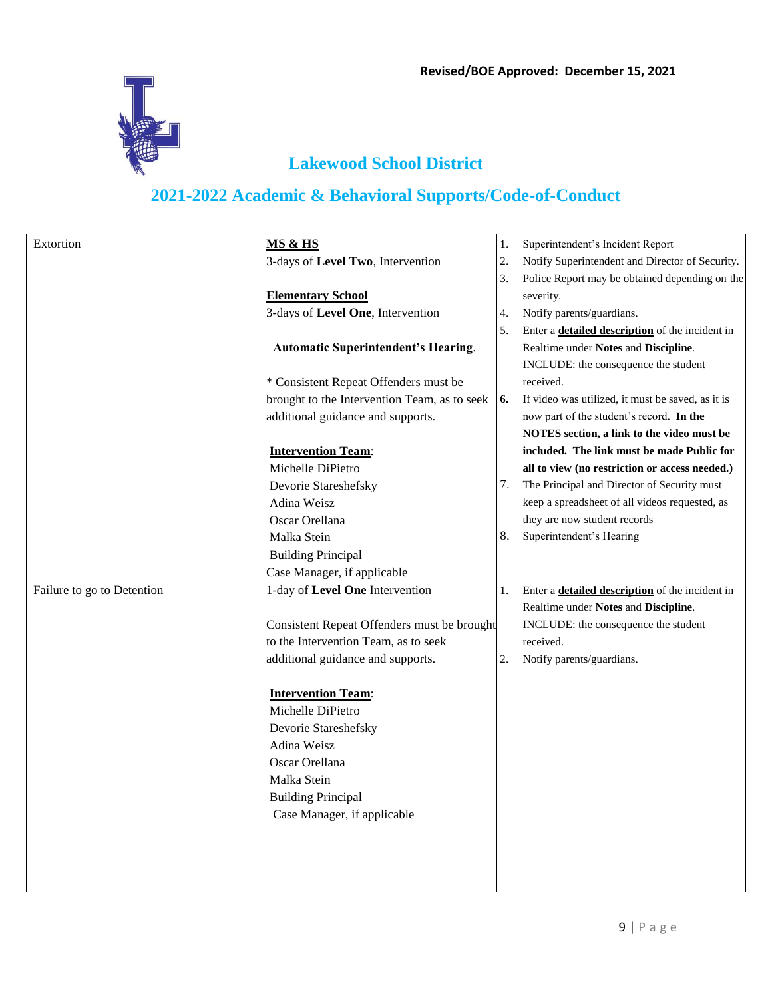

| Extortion                  | <b>MS &amp; HS</b>                           | 1. | Superintendent's Incident Report                       |
|----------------------------|----------------------------------------------|----|--------------------------------------------------------|
|                            | 3-days of Level Two, Intervention            | 2. | Notify Superintendent and Director of Security.        |
|                            |                                              | 3. | Police Report may be obtained depending on the         |
|                            | <b>Elementary School</b>                     |    | severity.                                              |
|                            | 3-days of Level One, Intervention            | 4. | Notify parents/guardians.                              |
|                            |                                              | 5. | Enter a <b>detailed description</b> of the incident in |
|                            | <b>Automatic Superintendent's Hearing.</b>   |    | Realtime under Notes and Discipline.                   |
|                            |                                              |    | INCLUDE: the consequence the student                   |
|                            | * Consistent Repeat Offenders must be        |    | received.                                              |
|                            | brought to the Intervention Team, as to seek | 6. | If video was utilized, it must be saved, as it is      |
|                            | additional guidance and supports.            |    | now part of the student's record. In the               |
|                            |                                              |    | NOTES section, a link to the video must be             |
|                            | <b>Intervention Team:</b>                    |    | included. The link must be made Public for             |
|                            | Michelle DiPietro                            |    | all to view (no restriction or access needed.)         |
|                            | Devorie Stareshefsky                         | 7. | The Principal and Director of Security must            |
|                            | Adina Weisz                                  |    | keep a spreadsheet of all videos requested, as         |
|                            | Oscar Orellana                               |    | they are now student records                           |
|                            | Malka Stein                                  | 8. | Superintendent's Hearing                               |
|                            | <b>Building Principal</b>                    |    |                                                        |
|                            | Case Manager, if applicable                  |    |                                                        |
| Failure to go to Detention | 1-day of Level One Intervention              | 1. | Enter a <b>detailed description</b> of the incident in |
|                            |                                              |    | Realtime under Notes and Discipline.                   |
|                            | Consistent Repeat Offenders must be brought  |    | INCLUDE: the consequence the student                   |
|                            | to the Intervention Team, as to seek         |    | received.                                              |
|                            | additional guidance and supports.            | 2. | Notify parents/guardians.                              |
|                            |                                              |    |                                                        |
|                            | <b>Intervention Team:</b>                    |    |                                                        |
|                            | Michelle DiPietro                            |    |                                                        |
|                            | Devorie Stareshefsky                         |    |                                                        |
|                            | Adina Weisz                                  |    |                                                        |
|                            | Oscar Orellana                               |    |                                                        |
|                            | Malka Stein                                  |    |                                                        |
|                            | <b>Building Principal</b>                    |    |                                                        |
|                            | Case Manager, if applicable                  |    |                                                        |
|                            |                                              |    |                                                        |
|                            |                                              |    |                                                        |
|                            |                                              |    |                                                        |
|                            |                                              |    |                                                        |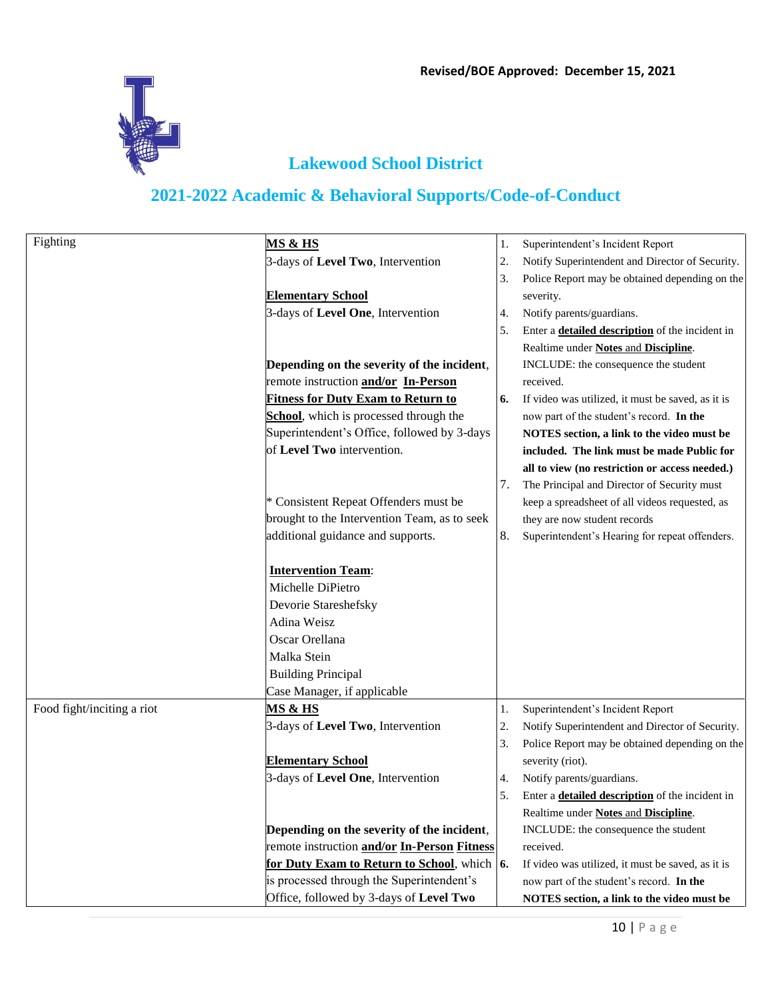

| Fighting                   | <b>MS &amp; HS</b>                                  | 1. | Superintendent's Incident Report                       |
|----------------------------|-----------------------------------------------------|----|--------------------------------------------------------|
|                            | 3-days of Level Two, Intervention                   | 2. | Notify Superintendent and Director of Security.        |
|                            |                                                     | 3. | Police Report may be obtained depending on the         |
|                            | <b>Elementary School</b>                            |    | severity.                                              |
|                            | 3-days of Level One, Intervention                   | 4. | Notify parents/guardians.                              |
|                            |                                                     | 5. | Enter a <b>detailed description</b> of the incident in |
|                            |                                                     |    | Realtime under Notes and Discipline.                   |
|                            | Depending on the severity of the incident,          |    | INCLUDE: the consequence the student                   |
|                            | remote instruction and/or In-Person                 |    | received.                                              |
|                            | <b>Fitness for Duty Exam to Return to</b>           | 6. | If video was utilized, it must be saved, as it is      |
|                            | School, which is processed through the              |    | now part of the student's record. In the               |
|                            | Superintendent's Office, followed by 3-days         |    | NOTES section, a link to the video must be             |
|                            | of Level Two intervention.                          |    | included. The link must be made Public for             |
|                            |                                                     |    | all to view (no restriction or access needed.)         |
|                            |                                                     | 7. | The Principal and Director of Security must            |
|                            | * Consistent Repeat Offenders must be               |    | keep a spreadsheet of all videos requested, as         |
|                            | brought to the Intervention Team, as to seek        |    | they are now student records                           |
|                            | additional guidance and supports.                   | 8. | Superintendent's Hearing for repeat offenders.         |
|                            |                                                     |    |                                                        |
|                            | <b>Intervention Team:</b>                           |    |                                                        |
|                            | Michelle DiPietro                                   |    |                                                        |
|                            | Devorie Stareshefsky                                |    |                                                        |
|                            | Adina Weisz                                         |    |                                                        |
|                            | Oscar Orellana                                      |    |                                                        |
|                            | Malka Stein                                         |    |                                                        |
|                            | <b>Building Principal</b>                           |    |                                                        |
|                            | Case Manager, if applicable                         |    |                                                        |
| Food fight/inciting a riot | <u>MS &amp; HS</u>                                  | 1. | Superintendent's Incident Report                       |
|                            | 3-days of Level Two, Intervention                   | 2. | Notify Superintendent and Director of Security.        |
|                            |                                                     | 3. | Police Report may be obtained depending on the         |
|                            | <b>Elementary School</b>                            |    | severity (riot).                                       |
|                            | 3-days of Level One, Intervention                   | 4. | Notify parents/guardians.                              |
|                            |                                                     | 5. | Enter a <b>detailed description</b> of the incident in |
|                            |                                                     |    | Realtime under Notes and Discipline.                   |
|                            | Depending on the severity of the incident,          |    | INCLUDE: the consequence the student                   |
|                            | remote instruction and/or In-Person Fitness         |    | received.                                              |
|                            | for Duty Exam to Return to School, which $\vert$ 6. |    | If video was utilized, it must be saved, as it is      |
|                            | is processed through the Superintendent's           |    | now part of the student's record. In the               |
|                            | Office, followed by 3-days of Level Two             |    | NOTES section, a link to the video must be             |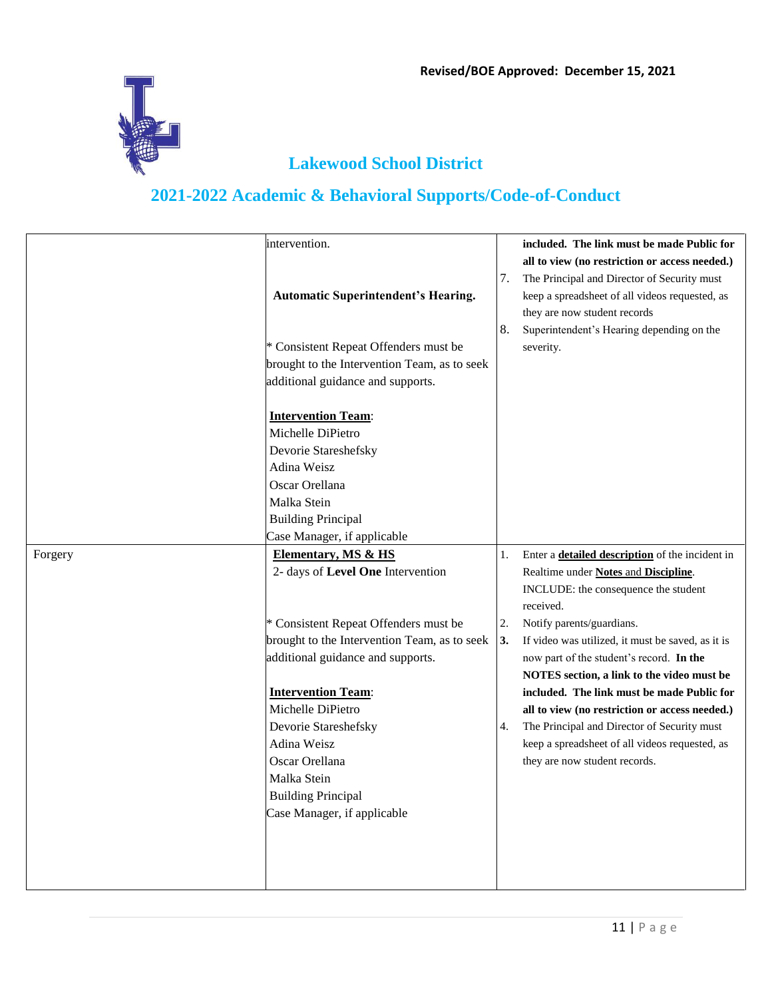

|         | intervention.                                |    | included. The link must be made Public for             |
|---------|----------------------------------------------|----|--------------------------------------------------------|
|         |                                              |    | all to view (no restriction or access needed.)         |
|         |                                              | 7. | The Principal and Director of Security must            |
|         | <b>Automatic Superintendent's Hearing.</b>   |    | keep a spreadsheet of all videos requested, as         |
|         |                                              |    | they are now student records                           |
|         |                                              | 8. | Superintendent's Hearing depending on the              |
|         | * Consistent Repeat Offenders must be        |    | severity.                                              |
|         | brought to the Intervention Team, as to seek |    |                                                        |
|         | additional guidance and supports.            |    |                                                        |
|         | <b>Intervention Team:</b>                    |    |                                                        |
|         | Michelle DiPietro                            |    |                                                        |
|         | Devorie Stareshefsky                         |    |                                                        |
|         | Adina Weisz                                  |    |                                                        |
|         | Oscar Orellana                               |    |                                                        |
|         | Malka Stein                                  |    |                                                        |
|         | <b>Building Principal</b>                    |    |                                                        |
|         | Case Manager, if applicable                  |    |                                                        |
| Forgery | <b>Elementary, MS &amp; HS</b>               | 1. | Enter a <b>detailed description</b> of the incident in |
|         | 2- days of Level One Intervention            |    | Realtime under Notes and Discipline.                   |
|         |                                              |    | INCLUDE: the consequence the student<br>received.      |
|         | * Consistent Repeat Offenders must be        | 2. | Notify parents/guardians.                              |
|         | brought to the Intervention Team, as to seek | 3. | If video was utilized, it must be saved, as it is      |
|         | additional guidance and supports.            |    | now part of the student's record. In the               |
|         |                                              |    | NOTES section, a link to the video must be             |
|         | <b>Intervention Team:</b>                    |    | included. The link must be made Public for             |
|         | Michelle DiPietro                            |    | all to view (no restriction or access needed.)         |
|         | Devorie Stareshefsky                         | 4. | The Principal and Director of Security must            |
|         | Adina Weisz                                  |    | keep a spreadsheet of all videos requested, as         |
|         | Oscar Orellana                               |    | they are now student records.                          |
|         | Malka Stein                                  |    |                                                        |
|         | <b>Building Principal</b>                    |    |                                                        |
|         | Case Manager, if applicable                  |    |                                                        |
|         |                                              |    |                                                        |
|         |                                              |    |                                                        |
|         |                                              |    |                                                        |
|         |                                              |    |                                                        |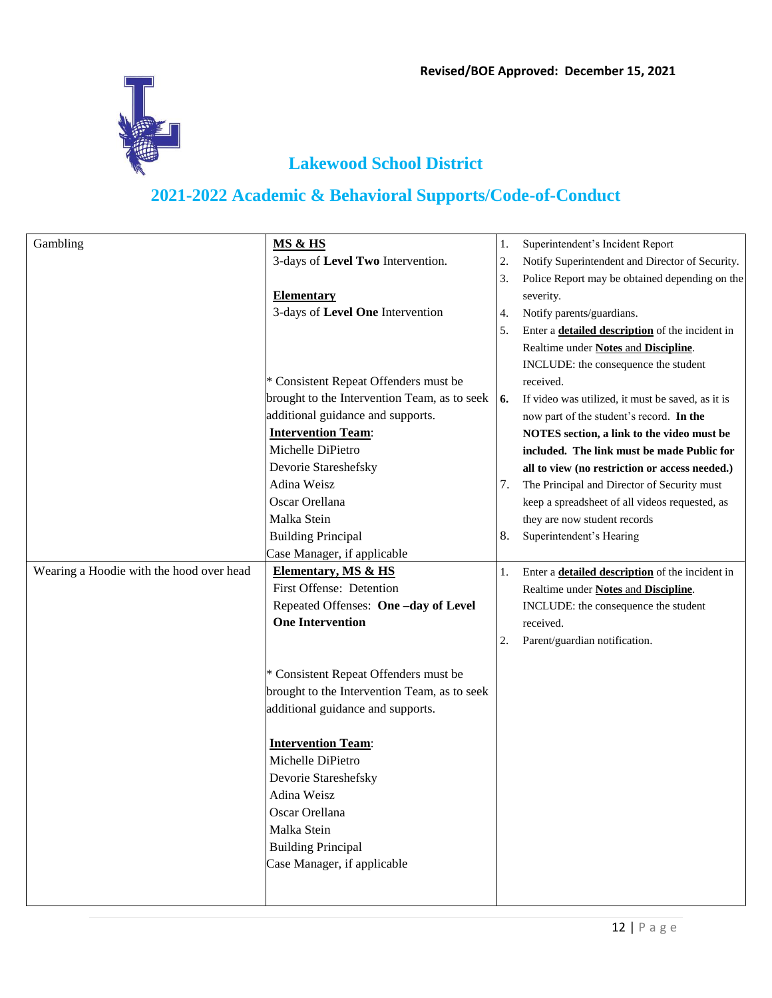

| Gambling                                 | MS & HS                                      | 1.                          | Superintendent's Incident Report                       |
|------------------------------------------|----------------------------------------------|-----------------------------|--------------------------------------------------------|
|                                          | 3-days of Level Two Intervention.            | 2.                          | Notify Superintendent and Director of Security.        |
|                                          |                                              | 3.                          | Police Report may be obtained depending on the         |
|                                          | <b>Elementary</b>                            |                             |                                                        |
|                                          |                                              |                             | severity.                                              |
|                                          | 3-days of Level One Intervention             | 4.                          | Notify parents/guardians.                              |
|                                          |                                              | 5.                          | Enter a <b>detailed description</b> of the incident in |
|                                          |                                              |                             | Realtime under Notes and Discipline.                   |
|                                          |                                              |                             | INCLUDE: the consequence the student                   |
|                                          | * Consistent Repeat Offenders must be        |                             | received.                                              |
|                                          | brought to the Intervention Team, as to seek | $\overline{\phantom{a}}$ 6. | If video was utilized, it must be saved, as it is      |
|                                          | additional guidance and supports.            |                             | now part of the student's record. In the               |
|                                          | <b>Intervention Team:</b>                    |                             | NOTES section, a link to the video must be             |
|                                          | Michelle DiPietro                            |                             | included. The link must be made Public for             |
|                                          | Devorie Stareshefsky                         |                             | all to view (no restriction or access needed.)         |
|                                          | Adina Weisz                                  | 7.                          | The Principal and Director of Security must            |
|                                          | Oscar Orellana                               |                             | keep a spreadsheet of all videos requested, as         |
|                                          | Malka Stein                                  |                             | they are now student records                           |
|                                          | <b>Building Principal</b>                    | 8.                          | Superintendent's Hearing                               |
|                                          | Case Manager, if applicable                  |                             |                                                        |
| Wearing a Hoodie with the hood over head | Elementary, MS & HS                          | 1.                          | Enter a <b>detailed description</b> of the incident in |
|                                          | First Offense: Detention                     |                             | Realtime under Notes and Discipline.                   |
|                                          | Repeated Offenses: One-day of Level          |                             | INCLUDE: the consequence the student                   |
|                                          | <b>One Intervention</b>                      |                             | received.                                              |
|                                          |                                              | 2.                          | Parent/guardian notification.                          |
|                                          |                                              |                             |                                                        |
|                                          | * Consistent Repeat Offenders must be        |                             |                                                        |
|                                          | brought to the Intervention Team, as to seek |                             |                                                        |
|                                          | additional guidance and supports.            |                             |                                                        |
|                                          |                                              |                             |                                                        |
|                                          | <b>Intervention Team:</b>                    |                             |                                                        |
|                                          | Michelle DiPietro                            |                             |                                                        |
|                                          | Devorie Stareshefsky                         |                             |                                                        |
|                                          | Adina Weisz                                  |                             |                                                        |
|                                          | Oscar Orellana                               |                             |                                                        |
|                                          | Malka Stein                                  |                             |                                                        |
|                                          | <b>Building Principal</b>                    |                             |                                                        |
|                                          | Case Manager, if applicable                  |                             |                                                        |
|                                          |                                              |                             |                                                        |
|                                          |                                              |                             |                                                        |
|                                          |                                              |                             |                                                        |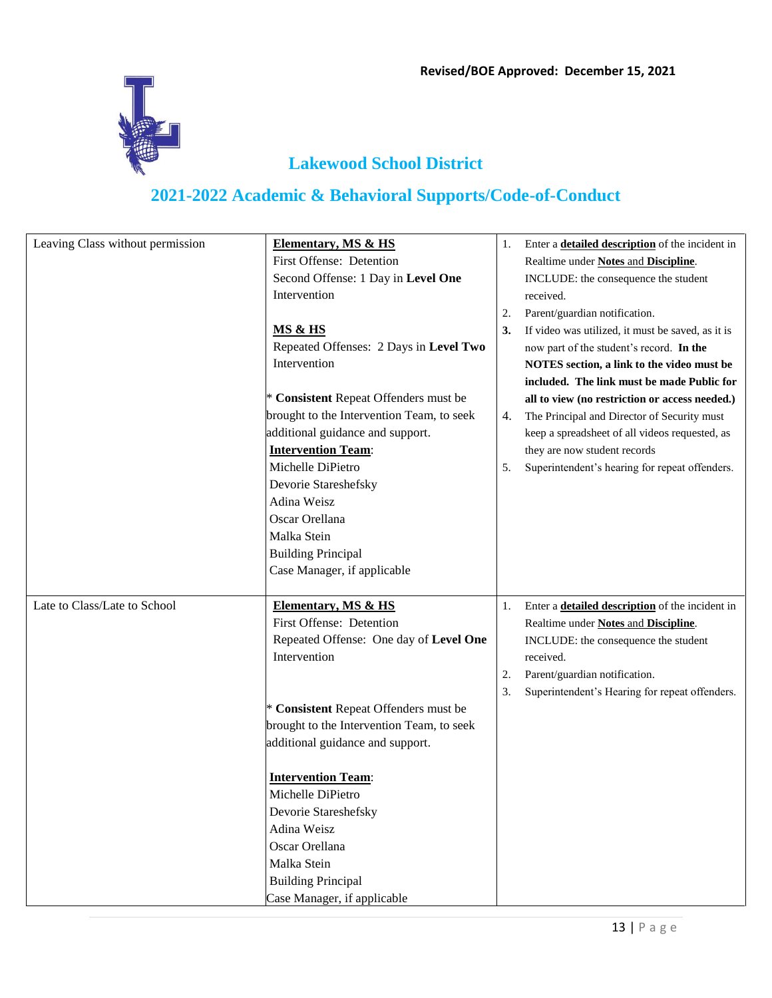

| Leaving Class without permission | Elementary, MS & HS                       | 1. | Enter a <b>detailed description</b> of the incident in |
|----------------------------------|-------------------------------------------|----|--------------------------------------------------------|
|                                  | First Offense: Detention                  |    | Realtime under Notes and Discipline.                   |
|                                  | Second Offense: 1 Day in Level One        |    | INCLUDE: the consequence the student                   |
|                                  | Intervention                              |    | received.                                              |
|                                  |                                           | 2. | Parent/guardian notification.                          |
|                                  | <b>MS &amp; HS</b>                        | 3. | If video was utilized, it must be saved, as it is      |
|                                  | Repeated Offenses: 2 Days in Level Two    |    | now part of the student's record. In the               |
|                                  | Intervention                              |    | NOTES section, a link to the video must be             |
|                                  |                                           |    | included. The link must be made Public for             |
|                                  | * Consistent Repeat Offenders must be     |    | all to view (no restriction or access needed.)         |
|                                  | brought to the Intervention Team, to seek | 4. | The Principal and Director of Security must            |
|                                  | additional guidance and support.          |    | keep a spreadsheet of all videos requested, as         |
|                                  | <b>Intervention Team:</b>                 |    | they are now student records                           |
|                                  | Michelle DiPietro                         | 5. | Superintendent's hearing for repeat offenders.         |
|                                  | Devorie Stareshefsky                      |    |                                                        |
|                                  | Adina Weisz                               |    |                                                        |
|                                  | Oscar Orellana                            |    |                                                        |
|                                  | Malka Stein                               |    |                                                        |
|                                  | <b>Building Principal</b>                 |    |                                                        |
|                                  | Case Manager, if applicable               |    |                                                        |
|                                  |                                           |    |                                                        |
| Late to Class/Late to School     | <b>Elementary, MS &amp; HS</b>            | 1. | Enter a <b>detailed description</b> of the incident in |
|                                  | First Offense: Detention                  |    | Realtime under Notes and Discipline.                   |
|                                  | Repeated Offense: One day of Level One    |    | INCLUDE: the consequence the student                   |
|                                  | Intervention                              |    | received.                                              |
|                                  |                                           | 2. | Parent/guardian notification.                          |
|                                  |                                           | 3. | Superintendent's Hearing for repeat offenders.         |
|                                  | * Consistent Repeat Offenders must be     |    |                                                        |
|                                  | brought to the Intervention Team, to seek |    |                                                        |
|                                  | additional guidance and support.          |    |                                                        |
|                                  |                                           |    |                                                        |
|                                  | <b>Intervention Team:</b>                 |    |                                                        |
|                                  | Michelle DiPietro                         |    |                                                        |
|                                  | Devorie Stareshefsky                      |    |                                                        |
|                                  | Adina Weisz                               |    |                                                        |
|                                  | Oscar Orellana                            |    |                                                        |
|                                  | Malka Stein                               |    |                                                        |
|                                  | <b>Building Principal</b>                 |    |                                                        |
|                                  | Case Manager, if applicable               |    |                                                        |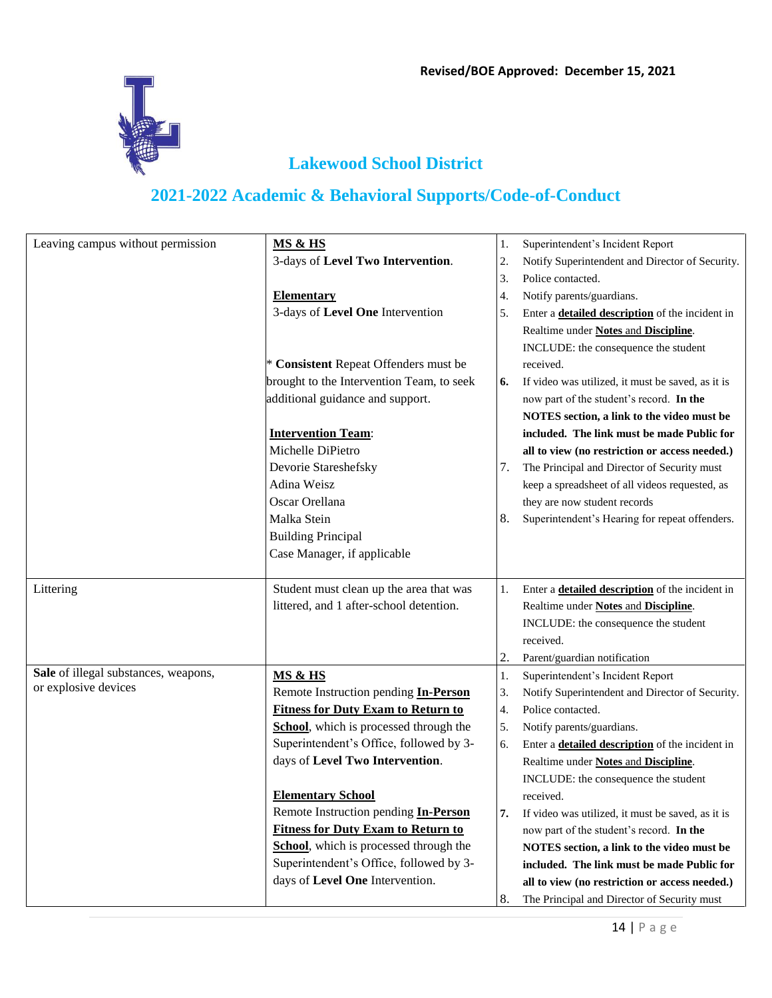

| Leaving campus without permission    | <b>MS &amp; HS</b>                        | 1. | Superintendent's Incident Report                       |
|--------------------------------------|-------------------------------------------|----|--------------------------------------------------------|
|                                      | 3-days of Level Two Intervention.         | 2. | Notify Superintendent and Director of Security.        |
|                                      |                                           | 3. | Police contacted.                                      |
|                                      | <b>Elementary</b>                         | 4. | Notify parents/guardians.                              |
|                                      | 3-days of Level One Intervention          | 5. | Enter a <b>detailed description</b> of the incident in |
|                                      |                                           |    | Realtime under Notes and Discipline.                   |
|                                      |                                           |    | INCLUDE: the consequence the student                   |
|                                      | * Consistent Repeat Offenders must be     |    | received.                                              |
|                                      | brought to the Intervention Team, to seek | 6. | If video was utilized, it must be saved, as it is      |
|                                      | additional guidance and support.          |    | now part of the student's record. In the               |
|                                      |                                           |    | NOTES section, a link to the video must be             |
|                                      | <b>Intervention Team:</b>                 |    | included. The link must be made Public for             |
|                                      | Michelle DiPietro                         |    | all to view (no restriction or access needed.)         |
|                                      | Devorie Stareshefsky                      | 7. | The Principal and Director of Security must            |
|                                      | Adina Weisz                               |    | keep a spreadsheet of all videos requested, as         |
|                                      | Oscar Orellana                            |    | they are now student records                           |
|                                      | Malka Stein                               | 8. | Superintendent's Hearing for repeat offenders.         |
|                                      | <b>Building Principal</b>                 |    |                                                        |
|                                      | Case Manager, if applicable               |    |                                                        |
|                                      |                                           |    |                                                        |
| Littering                            | Student must clean up the area that was   | 1. | Enter a <b>detailed description</b> of the incident in |
|                                      | littered, and 1 after-school detention.   |    | Realtime under Notes and Discipline.                   |
|                                      |                                           |    | INCLUDE: the consequence the student                   |
|                                      |                                           |    | received.                                              |
|                                      |                                           | 2. | Parent/guardian notification                           |
| Sale of illegal substances, weapons, | <b>MS &amp; HS</b>                        | 1. | Superintendent's Incident Report                       |
| or explosive devices                 | Remote Instruction pending In-Person      | 3. | Notify Superintendent and Director of Security.        |
|                                      | <b>Fitness for Duty Exam to Return to</b> | 4. | Police contacted.                                      |
|                                      | School, which is processed through the    | 5. | Notify parents/guardians.                              |
|                                      | Superintendent's Office, followed by 3-   | 6. | Enter a <b>detailed description</b> of the incident in |
|                                      | days of Level Two Intervention.           |    | Realtime under Notes and Discipline.                   |
|                                      |                                           |    | INCLUDE: the consequence the student                   |
|                                      | <b>Elementary School</b>                  |    | received.                                              |
|                                      | Remote Instruction pending In-Person      | 7. | If video was utilized, it must be saved, as it is      |
|                                      | <b>Fitness for Duty Exam to Return to</b> |    | now part of the student's record. In the               |
|                                      | School, which is processed through the    |    | NOTES section, a link to the video must be             |
|                                      | Superintendent's Office, followed by 3-   |    | included. The link must be made Public for             |
|                                      | days of Level One Intervention.           |    | all to view (no restriction or access needed.)         |
|                                      |                                           | 8. | The Principal and Director of Security must            |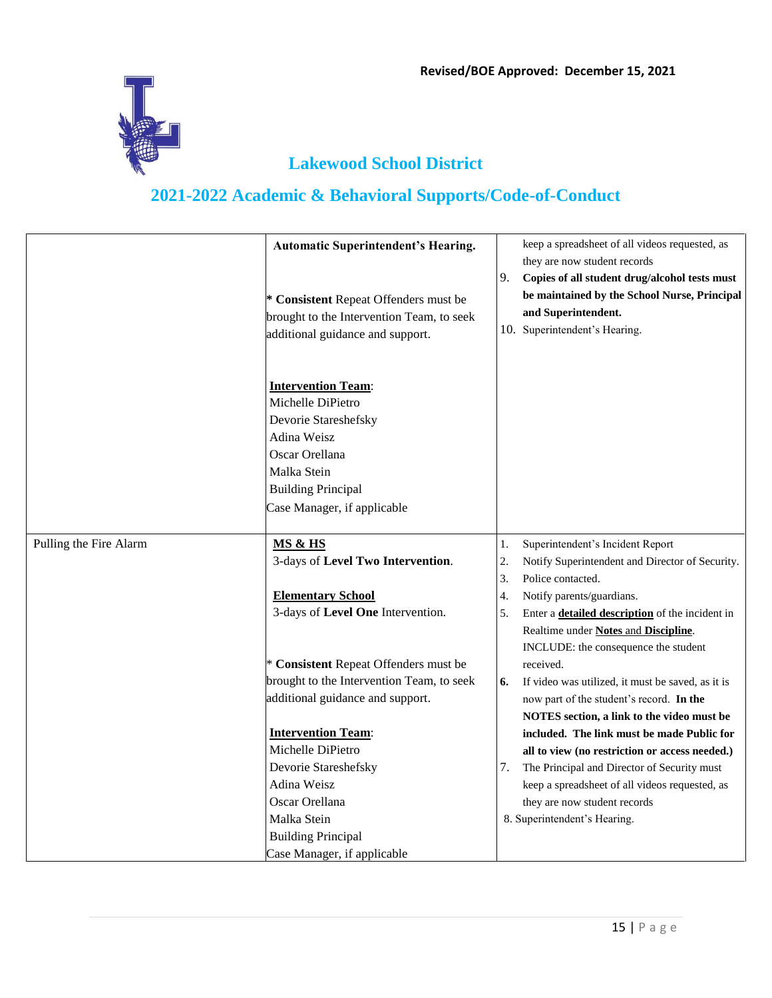

|                        | <b>Automatic Superintendent's Hearing.</b>                                                                                                                                         |                  | keep a spreadsheet of all videos requested, as<br>they are now student records                                                                                                                                                                                                                              |
|------------------------|------------------------------------------------------------------------------------------------------------------------------------------------------------------------------------|------------------|-------------------------------------------------------------------------------------------------------------------------------------------------------------------------------------------------------------------------------------------------------------------------------------------------------------|
|                        | * Consistent Repeat Offenders must be<br>brought to the Intervention Team, to seek<br>additional guidance and support.                                                             | 9.               | Copies of all student drug/alcohol tests must<br>be maintained by the School Nurse, Principal<br>and Superintendent.<br>10. Superintendent's Hearing.                                                                                                                                                       |
|                        | <b>Intervention Team:</b><br>Michelle DiPietro<br>Devorie Stareshefsky<br>Adina Weisz<br>Oscar Orellana<br>Malka Stein<br><b>Building Principal</b><br>Case Manager, if applicable |                  |                                                                                                                                                                                                                                                                                                             |
| Pulling the Fire Alarm | MS & HS<br>3-days of Level Two Intervention.                                                                                                                                       | 1.<br>2.         | Superintendent's Incident Report<br>Notify Superintendent and Director of Security.                                                                                                                                                                                                                         |
|                        |                                                                                                                                                                                    | 3.               | Police contacted.                                                                                                                                                                                                                                                                                           |
|                        | <b>Elementary School</b>                                                                                                                                                           | $\overline{4}$ . | Notify parents/guardians.                                                                                                                                                                                                                                                                                   |
|                        | 3-days of Level One Intervention.                                                                                                                                                  | 5.               | Enter a <b>detailed description</b> of the incident in<br>Realtime under Notes and Discipline.<br>INCLUDE: the consequence the student                                                                                                                                                                      |
|                        | * Consistent Repeat Offenders must be                                                                                                                                              |                  | received.                                                                                                                                                                                                                                                                                                   |
|                        | brought to the Intervention Team, to seek                                                                                                                                          | 6.               | If video was utilized, it must be saved, as it is                                                                                                                                                                                                                                                           |
|                        | additional guidance and support.                                                                                                                                                   |                  | now part of the student's record. In the                                                                                                                                                                                                                                                                    |
|                        | <b>Intervention Team:</b><br>Michelle DiPietro<br>Devorie Stareshefsky<br>Adina Weisz<br>Oscar Orellana<br>Malka Stein<br><b>Building Principal</b><br>Case Manager, if applicable | 7.               | NOTES section, a link to the video must be<br>included. The link must be made Public for<br>all to view (no restriction or access needed.)<br>The Principal and Director of Security must<br>keep a spreadsheet of all videos requested, as<br>they are now student records<br>8. Superintendent's Hearing. |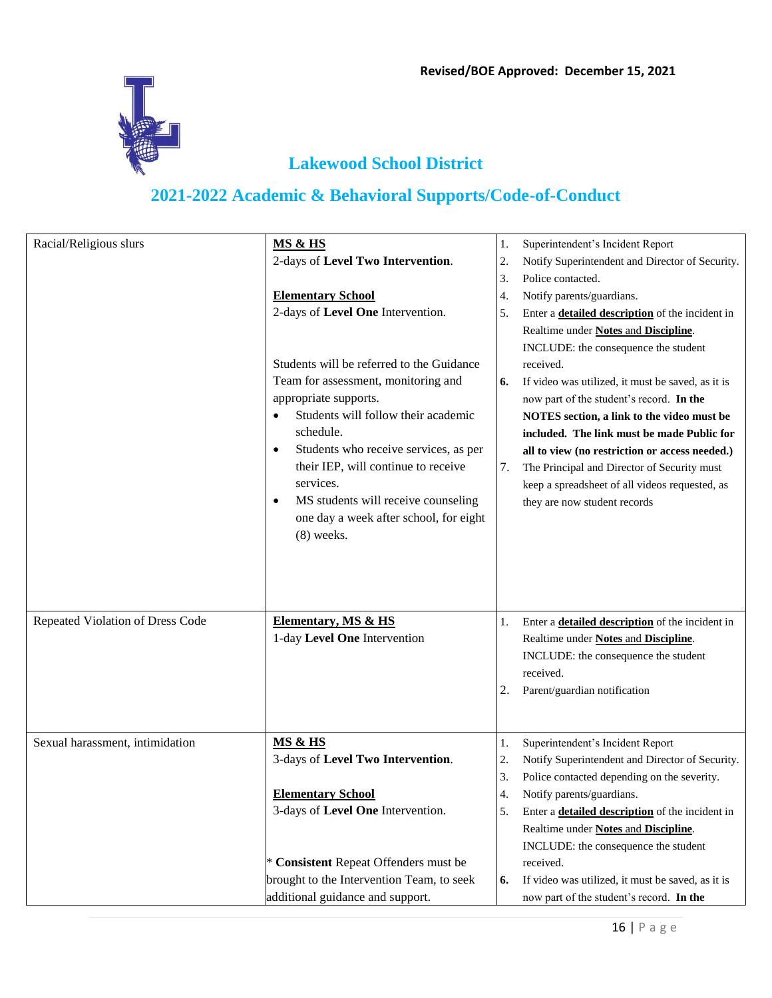

| Racial/Religious slurs           | MS & HS<br>2-days of Level Two Intervention.<br><b>Elementary School</b><br>2-days of Level One Intervention.<br>Students will be referred to the Guidance<br>Team for assessment, monitoring and<br>appropriate supports.<br>Students will follow their academic | 1.<br>2.<br>3.<br>4.<br>5.<br>6. | Superintendent's Incident Report<br>Notify Superintendent and Director of Security.<br>Police contacted.<br>Notify parents/guardians.<br>Enter a <b>detailed description</b> of the incident in<br>Realtime under Notes and Discipline.<br>INCLUDE: the consequence the student<br>received.<br>If video was utilized, it must be saved, as it is<br>now part of the student's record. In the<br>NOTES section, a link to the video must be |
|----------------------------------|-------------------------------------------------------------------------------------------------------------------------------------------------------------------------------------------------------------------------------------------------------------------|----------------------------------|---------------------------------------------------------------------------------------------------------------------------------------------------------------------------------------------------------------------------------------------------------------------------------------------------------------------------------------------------------------------------------------------------------------------------------------------|
|                                  | schedule.<br>Students who receive services, as per<br>٠<br>their IEP, will continue to receive<br>services.<br>MS students will receive counseling<br>$\bullet$<br>one day a week after school, for eight<br>$(8)$ weeks.                                         | 7.                               | included. The link must be made Public for<br>all to view (no restriction or access needed.)<br>The Principal and Director of Security must<br>keep a spreadsheet of all videos requested, as<br>they are now student records                                                                                                                                                                                                               |
| Repeated Violation of Dress Code | <b>Elementary, MS &amp; HS</b><br>1-day Level One Intervention                                                                                                                                                                                                    | 1.<br>2.                         | Enter a <b>detailed description</b> of the incident in<br>Realtime under Notes and Discipline.<br>INCLUDE: the consequence the student<br>received.<br>Parent/guardian notification                                                                                                                                                                                                                                                         |
| Sexual harassment, intimidation  | <b>MS &amp; HS</b><br>3-days of Level Two Intervention.<br><b>Elementary School</b><br>3-days of Level One Intervention.                                                                                                                                          | 1.<br>2.<br>3.<br>4.<br>5.       | Superintendent's Incident Report<br>Notify Superintendent and Director of Security.<br>Police contacted depending on the severity.<br>Notify parents/guardians.<br>Enter a <b>detailed description</b> of the incident in                                                                                                                                                                                                                   |
|                                  | * Consistent Repeat Offenders must be<br>brought to the Intervention Team, to seek<br>additional guidance and support.                                                                                                                                            | 6.                               | Realtime under Notes and Discipline.<br>INCLUDE: the consequence the student<br>received.<br>If video was utilized, it must be saved, as it is<br>now part of the student's record. In the                                                                                                                                                                                                                                                  |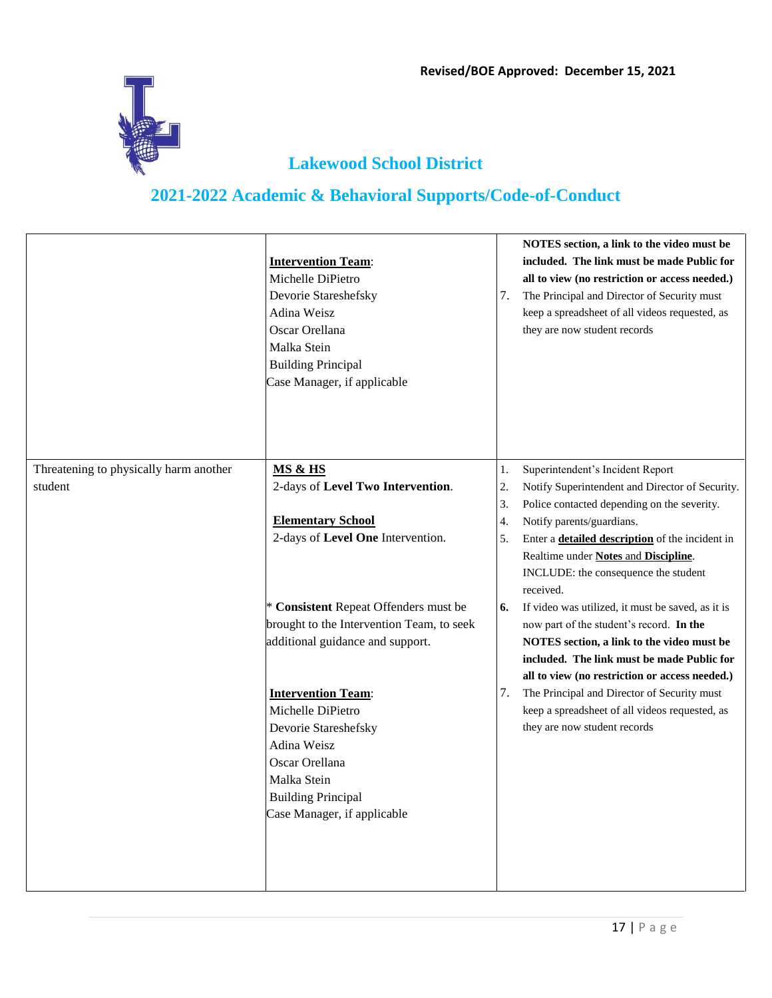

|                                        | <b>Intervention Team:</b><br>Michelle DiPietro<br>Devorie Stareshefsky<br>Adina Weisz<br>Oscar Orellana<br>Malka Stein<br><b>Building Principal</b><br>Case Manager, if applicable | 7.               | NOTES section, a link to the video must be<br>included. The link must be made Public for<br>all to view (no restriction or access needed.)<br>The Principal and Director of Security must<br>keep a spreadsheet of all videos requested, as<br>they are now student records |
|----------------------------------------|------------------------------------------------------------------------------------------------------------------------------------------------------------------------------------|------------------|-----------------------------------------------------------------------------------------------------------------------------------------------------------------------------------------------------------------------------------------------------------------------------|
| Threatening to physically harm another | <b>MS &amp; HS</b>                                                                                                                                                                 | 1.               | Superintendent's Incident Report                                                                                                                                                                                                                                            |
| student                                | 2-days of Level Two Intervention.                                                                                                                                                  | 2.               | Notify Superintendent and Director of Security.                                                                                                                                                                                                                             |
|                                        |                                                                                                                                                                                    | 3.               | Police contacted depending on the severity.                                                                                                                                                                                                                                 |
|                                        | <b>Elementary School</b>                                                                                                                                                           | $\overline{4}$ . | Notify parents/guardians.                                                                                                                                                                                                                                                   |
|                                        | 2-days of Level One Intervention.                                                                                                                                                  | 5.               | Enter a <b>detailed description</b> of the incident in<br>Realtime under Notes and Discipline.<br>INCLUDE: the consequence the student<br>received.                                                                                                                         |
|                                        | * Consistent Repeat Offenders must be                                                                                                                                              | 6.               | If video was utilized, it must be saved, as it is                                                                                                                                                                                                                           |
|                                        | brought to the Intervention Team, to seek                                                                                                                                          |                  | now part of the student's record. In the                                                                                                                                                                                                                                    |
|                                        | additional guidance and support.                                                                                                                                                   |                  | NOTES section, a link to the video must be                                                                                                                                                                                                                                  |
|                                        |                                                                                                                                                                                    |                  | included. The link must be made Public for                                                                                                                                                                                                                                  |
|                                        |                                                                                                                                                                                    |                  | all to view (no restriction or access needed.)                                                                                                                                                                                                                              |
|                                        | <b>Intervention Team:</b>                                                                                                                                                          | 7.               | The Principal and Director of Security must                                                                                                                                                                                                                                 |
|                                        | Michelle DiPietro                                                                                                                                                                  |                  | keep a spreadsheet of all videos requested, as<br>they are now student records                                                                                                                                                                                              |
|                                        | Devorie Stareshefsky<br>Adina Weisz                                                                                                                                                |                  |                                                                                                                                                                                                                                                                             |
|                                        | Oscar Orellana                                                                                                                                                                     |                  |                                                                                                                                                                                                                                                                             |
|                                        | Malka Stein                                                                                                                                                                        |                  |                                                                                                                                                                                                                                                                             |
|                                        | <b>Building Principal</b>                                                                                                                                                          |                  |                                                                                                                                                                                                                                                                             |
|                                        | Case Manager, if applicable                                                                                                                                                        |                  |                                                                                                                                                                                                                                                                             |
|                                        |                                                                                                                                                                                    |                  |                                                                                                                                                                                                                                                                             |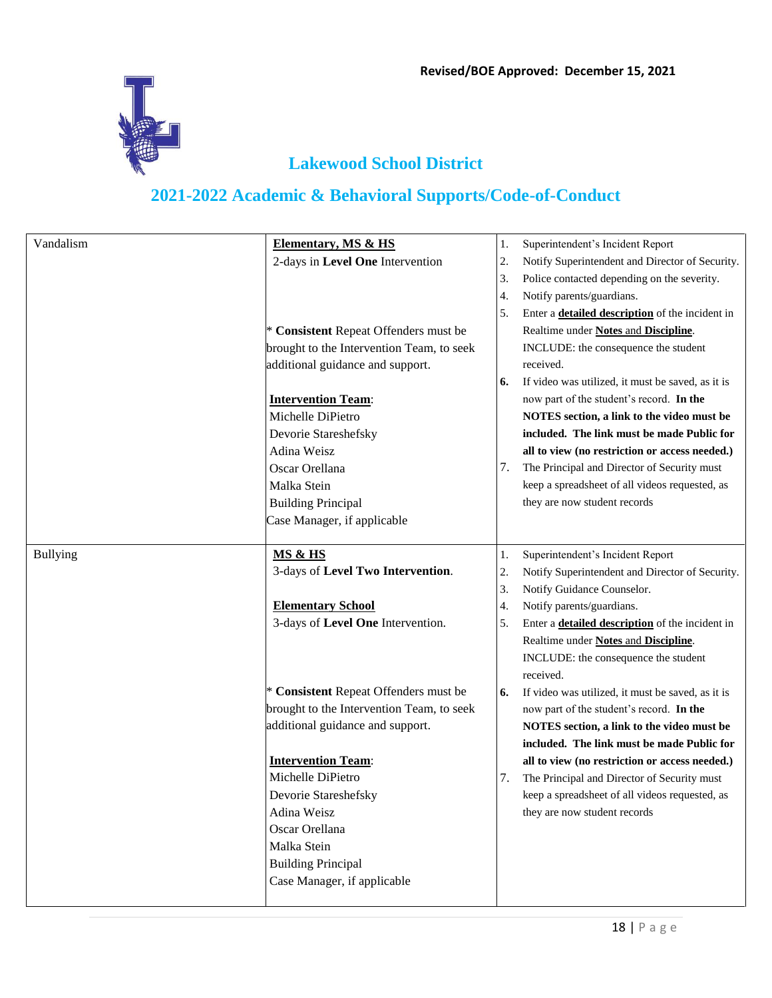

| Vandalism       | <b>Elementary, MS &amp; HS</b>            | 1. | Superintendent's Incident Report                       |
|-----------------|-------------------------------------------|----|--------------------------------------------------------|
|                 | 2-days in Level One Intervention          | 2. | Notify Superintendent and Director of Security.        |
|                 |                                           | 3. | Police contacted depending on the severity.            |
|                 |                                           | 4. | Notify parents/guardians.                              |
|                 |                                           | 5. | Enter a <b>detailed description</b> of the incident in |
|                 | * Consistent Repeat Offenders must be     |    | Realtime under Notes and Discipline.                   |
|                 | brought to the Intervention Team, to seek |    | INCLUDE: the consequence the student                   |
|                 | additional guidance and support.          |    | received.                                              |
|                 |                                           | 6. | If video was utilized, it must be saved, as it is      |
|                 | <b>Intervention Team:</b>                 |    | now part of the student's record. In the               |
|                 | Michelle DiPietro                         |    | NOTES section, a link to the video must be             |
|                 | Devorie Stareshefsky                      |    | included. The link must be made Public for             |
|                 | Adina Weisz                               |    | all to view (no restriction or access needed.)         |
|                 | Oscar Orellana                            | 7. | The Principal and Director of Security must            |
|                 | Malka Stein                               |    | keep a spreadsheet of all videos requested, as         |
|                 | <b>Building Principal</b>                 |    | they are now student records                           |
|                 | Case Manager, if applicable               |    |                                                        |
|                 |                                           |    |                                                        |
| <b>Bullying</b> | <b>MS &amp; HS</b>                        | 1. | Superintendent's Incident Report                       |
|                 | 3-days of Level Two Intervention.         | 2. | Notify Superintendent and Director of Security.        |
|                 |                                           | 3. | Notify Guidance Counselor.                             |
|                 | <b>Elementary School</b>                  | 4. | Notify parents/guardians.                              |
|                 | 3-days of Level One Intervention.         | 5. | Enter a <b>detailed description</b> of the incident in |
|                 |                                           |    | Realtime under Notes and Discipline.                   |
|                 |                                           |    | INCLUDE: the consequence the student                   |
|                 |                                           |    | received.                                              |
|                 | * Consistent Repeat Offenders must be     | 6. | If video was utilized, it must be saved, as it is      |
|                 | brought to the Intervention Team, to seek |    | now part of the student's record. In the               |
|                 | additional guidance and support.          |    | NOTES section, a link to the video must be             |
|                 |                                           |    | included. The link must be made Public for             |
|                 | <b>Intervention Team:</b>                 |    | all to view (no restriction or access needed.)         |
|                 | Michelle DiPietro                         | 7. | The Principal and Director of Security must            |
|                 | Devorie Stareshefsky                      |    | keep a spreadsheet of all videos requested, as         |
|                 | Adina Weisz                               |    | they are now student records                           |
|                 | Oscar Orellana                            |    |                                                        |
|                 | Malka Stein                               |    |                                                        |
|                 | <b>Building Principal</b>                 |    |                                                        |
|                 |                                           |    |                                                        |
|                 | Case Manager, if applicable               |    |                                                        |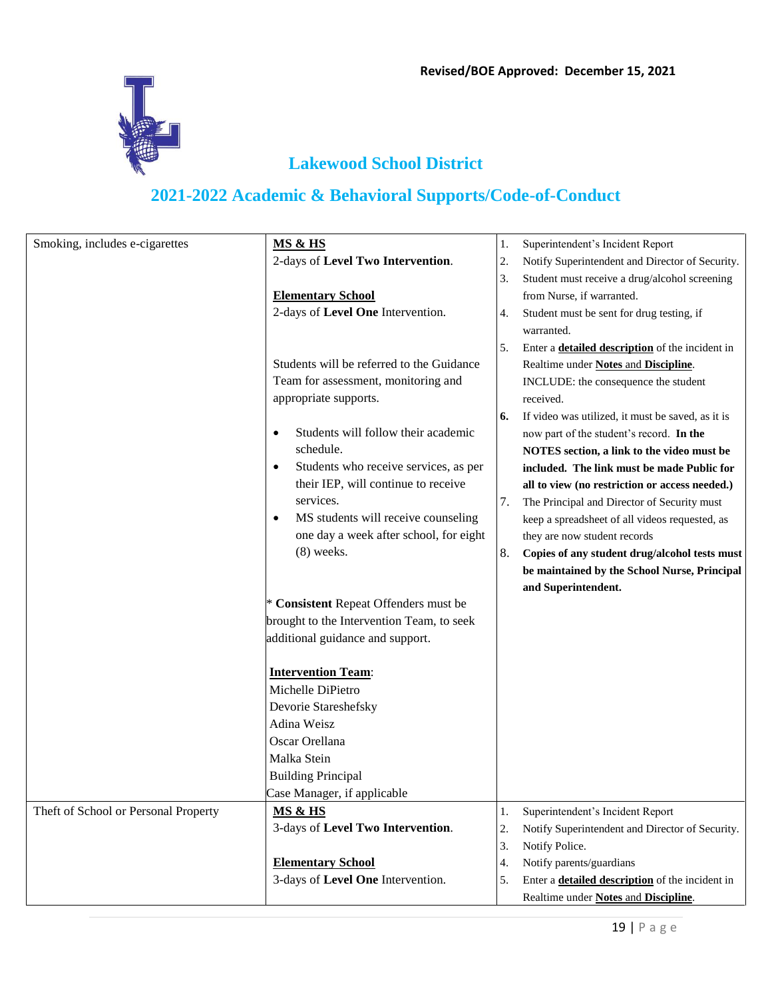

| Smoking, includes e-cigarettes       | <b>MS &amp; HS</b>                                 | 1. | Superintendent's Incident Report                       |
|--------------------------------------|----------------------------------------------------|----|--------------------------------------------------------|
|                                      | 2-days of Level Two Intervention.                  | 2. | Notify Superintendent and Director of Security.        |
|                                      |                                                    | 3. | Student must receive a drug/alcohol screening          |
|                                      | <b>Elementary School</b>                           |    | from Nurse, if warranted.                              |
|                                      | 2-days of Level One Intervention.                  | 4. | Student must be sent for drug testing, if              |
|                                      |                                                    |    | warranted.                                             |
|                                      |                                                    | 5. | Enter a <b>detailed description</b> of the incident in |
|                                      | Students will be referred to the Guidance          |    | Realtime under Notes and Discipline.                   |
|                                      | Team for assessment, monitoring and                |    | INCLUDE: the consequence the student                   |
|                                      | appropriate supports.                              |    | received.                                              |
|                                      |                                                    | 6. | If video was utilized, it must be saved, as it is      |
|                                      | Students will follow their academic<br>$\bullet$   |    | now part of the student's record. In the               |
|                                      | schedule.                                          |    | NOTES section, a link to the video must be             |
|                                      | Students who receive services, as per<br>$\bullet$ |    | included. The link must be made Public for             |
|                                      | their IEP, will continue to receive                |    | all to view (no restriction or access needed.)         |
|                                      | services.                                          | 7. | The Principal and Director of Security must            |
|                                      | MS students will receive counseling<br>$\bullet$   |    | keep a spreadsheet of all videos requested, as         |
|                                      | one day a week after school, for eight             |    | they are now student records                           |
|                                      | $(8)$ weeks.                                       | 8. | Copies of any student drug/alcohol tests must          |
|                                      |                                                    |    | be maintained by the School Nurse, Principal           |
|                                      |                                                    |    | and Superintendent.                                    |
|                                      | * Consistent Repeat Offenders must be              |    |                                                        |
|                                      | brought to the Intervention Team, to seek          |    |                                                        |
|                                      | additional guidance and support.                   |    |                                                        |
|                                      | <b>Intervention Team:</b>                          |    |                                                        |
|                                      | Michelle DiPietro                                  |    |                                                        |
|                                      | Devorie Stareshefsky                               |    |                                                        |
|                                      | Adina Weisz                                        |    |                                                        |
|                                      | Oscar Orellana                                     |    |                                                        |
|                                      | Malka Stein                                        |    |                                                        |
|                                      | <b>Building Principal</b>                          |    |                                                        |
|                                      | Case Manager, if applicable                        |    |                                                        |
| Theft of School or Personal Property | <b>MS &amp; HS</b>                                 | 1. | Superintendent's Incident Report                       |
|                                      | 3-days of Level Two Intervention.                  | 2. | Notify Superintendent and Director of Security.        |
|                                      |                                                    | 3. | Notify Police.                                         |
|                                      | <b>Elementary School</b>                           | 4. | Notify parents/guardians                               |
|                                      | 3-days of Level One Intervention.                  | 5. | Enter a <b>detailed description</b> of the incident in |
|                                      |                                                    |    | Realtime under Notes and Discipline.                   |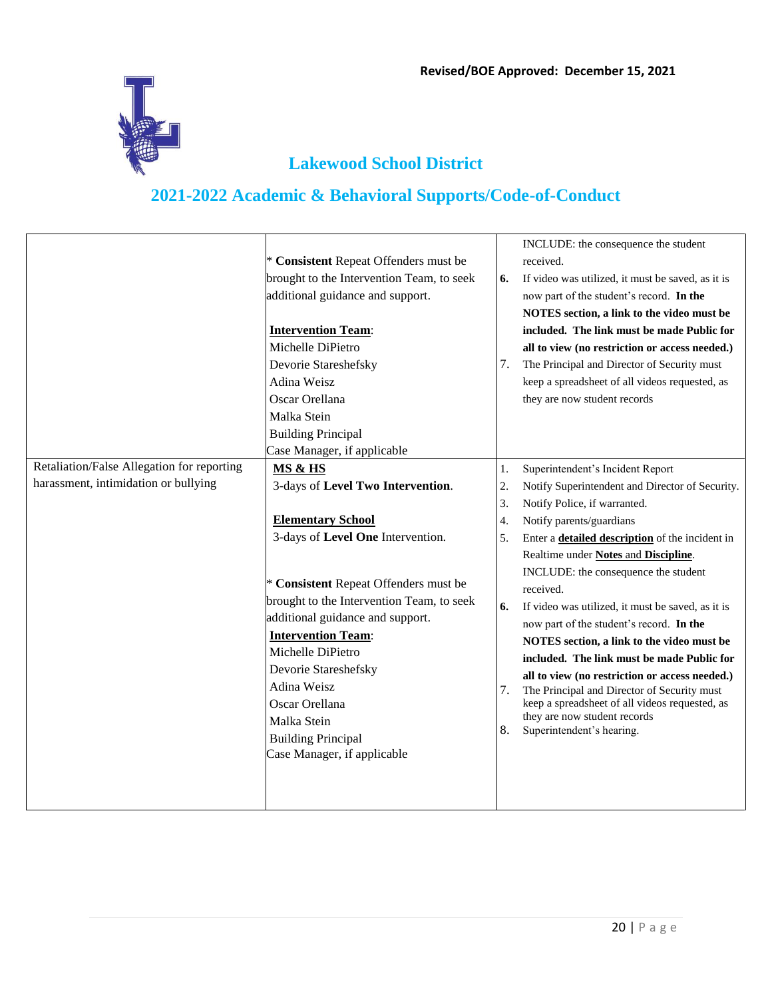

|                                            |                                           |                  | INCLUDE: the consequence the student                                           |
|--------------------------------------------|-------------------------------------------|------------------|--------------------------------------------------------------------------------|
|                                            | * Consistent Repeat Offenders must be     |                  | received.                                                                      |
|                                            | brought to the Intervention Team, to seek | 6.               | If video was utilized, it must be saved, as it is                              |
|                                            | additional guidance and support.          |                  | now part of the student's record. In the                                       |
|                                            |                                           |                  | NOTES section, a link to the video must be                                     |
|                                            | <b>Intervention Team:</b>                 |                  | included. The link must be made Public for                                     |
|                                            | Michelle DiPietro                         |                  | all to view (no restriction or access needed.)                                 |
|                                            | Devorie Stareshefsky                      | 7.               | The Principal and Director of Security must                                    |
|                                            | Adina Weisz                               |                  | keep a spreadsheet of all videos requested, as                                 |
|                                            | Oscar Orellana                            |                  | they are now student records                                                   |
|                                            | Malka Stein                               |                  |                                                                                |
|                                            | <b>Building Principal</b>                 |                  |                                                                                |
|                                            | Case Manager, if applicable               |                  |                                                                                |
| Retaliation/False Allegation for reporting | MS & HS                                   | 1.               | Superintendent's Incident Report                                               |
| harassment, intimidation or bullying       | 3-days of Level Two Intervention.         | 2.               | Notify Superintendent and Director of Security.                                |
|                                            |                                           | $\overline{3}$ . | Notify Police, if warranted.                                                   |
|                                            | <b>Elementary School</b>                  | $\overline{4}$ . | Notify parents/guardians                                                       |
|                                            | 3-days of Level One Intervention.         | 5.               | Enter a <b>detailed description</b> of the incident in                         |
|                                            |                                           |                  | Realtime under Notes and Discipline.                                           |
|                                            |                                           |                  | INCLUDE: the consequence the student                                           |
|                                            | * Consistent Repeat Offenders must be     |                  | received.                                                                      |
|                                            | brought to the Intervention Team, to seek | 6.               | If video was utilized, it must be saved, as it is                              |
|                                            | additional guidance and support.          |                  | now part of the student's record. In the                                       |
|                                            | <b>Intervention Team:</b>                 |                  | NOTES section, a link to the video must be                                     |
|                                            | Michelle DiPietro                         |                  | included. The link must be made Public for                                     |
|                                            | Devorie Stareshefsky                      |                  | all to view (no restriction or access needed.)                                 |
|                                            | Adina Weisz                               | 7.               | The Principal and Director of Security must                                    |
|                                            | Oscar Orellana                            |                  | keep a spreadsheet of all videos requested, as<br>they are now student records |
|                                            | Malka Stein                               | 8.               | Superintendent's hearing.                                                      |
|                                            | <b>Building Principal</b>                 |                  |                                                                                |
|                                            | Case Manager, if applicable               |                  |                                                                                |
|                                            |                                           |                  |                                                                                |
|                                            |                                           |                  |                                                                                |
|                                            |                                           |                  |                                                                                |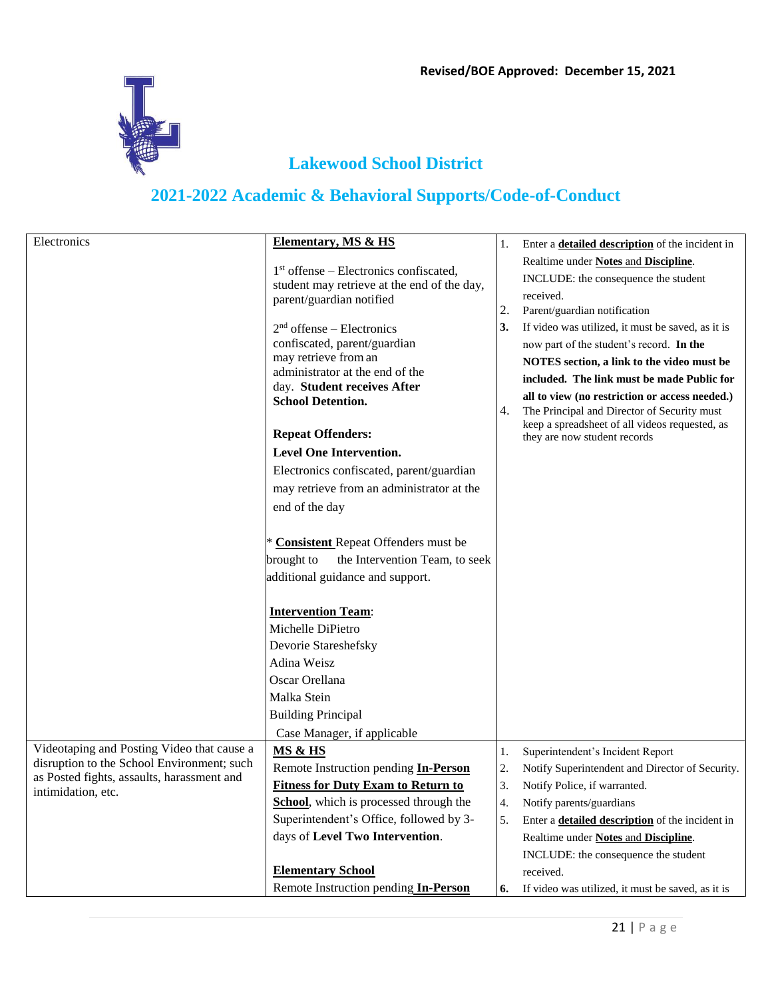

| Electronics                                                      | <b>Elementary, MS &amp; HS</b>                                                        | 1. | Enter a <b>detailed description</b> of the incident in |
|------------------------------------------------------------------|---------------------------------------------------------------------------------------|----|--------------------------------------------------------|
|                                                                  |                                                                                       |    | Realtime under Notes and Discipline.                   |
|                                                                  | $1st$ offense – Electronics confiscated,                                              |    | INCLUDE: the consequence the student                   |
|                                                                  | student may retrieve at the end of the day,                                           |    | received.                                              |
|                                                                  | parent/guardian notified                                                              | 2. | Parent/guardian notification                           |
|                                                                  | $2nd$ offense – Electronics                                                           | 3. | If video was utilized, it must be saved, as it is      |
|                                                                  | confiscated, parent/guardian                                                          |    | now part of the student's record. In the               |
|                                                                  | may retrieve from an                                                                  |    | NOTES section, a link to the video must be             |
|                                                                  | administrator at the end of the                                                       |    | included. The link must be made Public for             |
|                                                                  | day. Student receives After<br><b>School Detention.</b>                               |    | all to view (no restriction or access needed.)         |
|                                                                  |                                                                                       | 4. | The Principal and Director of Security must            |
|                                                                  | <b>Repeat Offenders:</b>                                                              |    | keep a spreadsheet of all videos requested, as         |
|                                                                  | <b>Level One Intervention.</b>                                                        |    | they are now student records                           |
|                                                                  | Electronics confiscated, parent/guardian                                              |    |                                                        |
|                                                                  |                                                                                       |    |                                                        |
|                                                                  | may retrieve from an administrator at the                                             |    |                                                        |
|                                                                  | end of the day                                                                        |    |                                                        |
|                                                                  |                                                                                       |    |                                                        |
|                                                                  | * Consistent Repeat Offenders must be<br>the Intervention Team, to seek<br>brought to |    |                                                        |
|                                                                  | additional guidance and support.                                                      |    |                                                        |
|                                                                  |                                                                                       |    |                                                        |
|                                                                  | <b>Intervention Team:</b>                                                             |    |                                                        |
|                                                                  | Michelle DiPietro                                                                     |    |                                                        |
|                                                                  | Devorie Stareshefsky                                                                  |    |                                                        |
|                                                                  | Adina Weisz                                                                           |    |                                                        |
|                                                                  | Oscar Orellana                                                                        |    |                                                        |
|                                                                  | Malka Stein                                                                           |    |                                                        |
|                                                                  | <b>Building Principal</b>                                                             |    |                                                        |
|                                                                  | Case Manager, if applicable                                                           |    |                                                        |
| Videotaping and Posting Video that cause a                       | MS & HS                                                                               | 1. | Superintendent's Incident Report                       |
| disruption to the School Environment; such                       | Remote Instruction pending In-Person                                                  | 2. | Notify Superintendent and Director of Security.        |
| as Posted fights, assaults, harassment and<br>intimidation, etc. | <b>Fitness for Duty Exam to Return to</b>                                             | 3. | Notify Police, if warranted.                           |
|                                                                  | School, which is processed through the                                                | 4. | Notify parents/guardians                               |
|                                                                  | Superintendent's Office, followed by 3-                                               | 5. | Enter a <b>detailed description</b> of the incident in |
|                                                                  | days of Level Two Intervention.                                                       |    | Realtime under Notes and Discipline.                   |
|                                                                  |                                                                                       |    | INCLUDE: the consequence the student                   |
|                                                                  | <b>Elementary School</b>                                                              |    | received.                                              |
|                                                                  | Remote Instruction pending In-Person                                                  | 6. | If video was utilized, it must be saved, as it is      |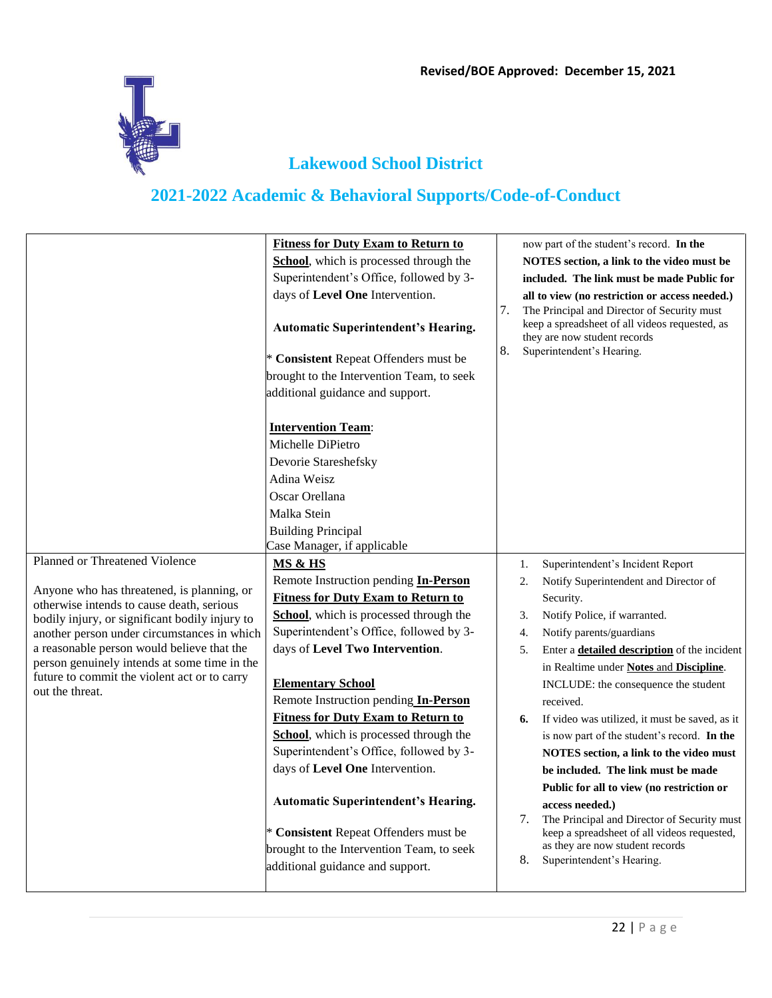

|                                                                                                                                                                                                                                                                                                                                                                                             | <b>Fitness for Duty Exam to Return to</b><br>School, which is processed through the<br>Superintendent's Office, followed by 3-<br>days of Level One Intervention.<br><b>Automatic Superintendent's Hearing.</b><br>* Consistent Repeat Offenders must be<br>brought to the Intervention Team, to seek<br>additional guidance and support.                                                                                                                                                                                                                                                                                             | 7.<br>8.                                     | now part of the student's record. In the<br>NOTES section, a link to the video must be<br>included. The link must be made Public for<br>all to view (no restriction or access needed.)<br>The Principal and Director of Security must<br>keep a spreadsheet of all videos requested, as<br>they are now student records<br>Superintendent's Hearing.                                                                                                                                                                                                                                                                                                                                                                      |
|---------------------------------------------------------------------------------------------------------------------------------------------------------------------------------------------------------------------------------------------------------------------------------------------------------------------------------------------------------------------------------------------|---------------------------------------------------------------------------------------------------------------------------------------------------------------------------------------------------------------------------------------------------------------------------------------------------------------------------------------------------------------------------------------------------------------------------------------------------------------------------------------------------------------------------------------------------------------------------------------------------------------------------------------|----------------------------------------------|---------------------------------------------------------------------------------------------------------------------------------------------------------------------------------------------------------------------------------------------------------------------------------------------------------------------------------------------------------------------------------------------------------------------------------------------------------------------------------------------------------------------------------------------------------------------------------------------------------------------------------------------------------------------------------------------------------------------------|
|                                                                                                                                                                                                                                                                                                                                                                                             | <b>Intervention Team:</b><br>Michelle DiPietro<br>Devorie Stareshefsky<br>Adina Weisz<br>Oscar Orellana<br>Malka Stein<br><b>Building Principal</b><br>Case Manager, if applicable                                                                                                                                                                                                                                                                                                                                                                                                                                                    |                                              |                                                                                                                                                                                                                                                                                                                                                                                                                                                                                                                                                                                                                                                                                                                           |
| Planned or Threatened Violence<br>Anyone who has threatened, is planning, or<br>otherwise intends to cause death, serious<br>bodily injury, or significant bodily injury to<br>another person under circumstances in which<br>a reasonable person would believe that the<br>person genuinely intends at some time in the<br>future to commit the violent act or to carry<br>out the threat. | MS & HS<br>Remote Instruction pending In-Person<br><b>Fitness for Duty Exam to Return to</b><br>School, which is processed through the<br>Superintendent's Office, followed by 3-<br>days of Level Two Intervention.<br><b>Elementary School</b><br>Remote Instruction pending In-Person<br><b>Fitness for Duty Exam to Return to</b><br>School, which is processed through the<br>Superintendent's Office, followed by 3-<br>days of Level One Intervention.<br><b>Automatic Superintendent's Hearing.</b><br>* Consistent Repeat Offenders must be<br>brought to the Intervention Team, to seek<br>additional guidance and support. | 1.<br>2.<br>3.<br>4.<br>5.<br>6.<br>7.<br>8. | Superintendent's Incident Report<br>Notify Superintendent and Director of<br>Security.<br>Notify Police, if warranted.<br>Notify parents/guardians<br>Enter a <b>detailed description</b> of the incident<br>in Realtime under Notes and Discipline.<br>INCLUDE: the consequence the student<br>received.<br>If video was utilized, it must be saved, as it<br>is now part of the student's record. In the<br>NOTES section, a link to the video must<br>be included. The link must be made<br>Public for all to view (no restriction or<br>access needed.)<br>The Principal and Director of Security must<br>keep a spreadsheet of all videos requested,<br>as they are now student records<br>Superintendent's Hearing. |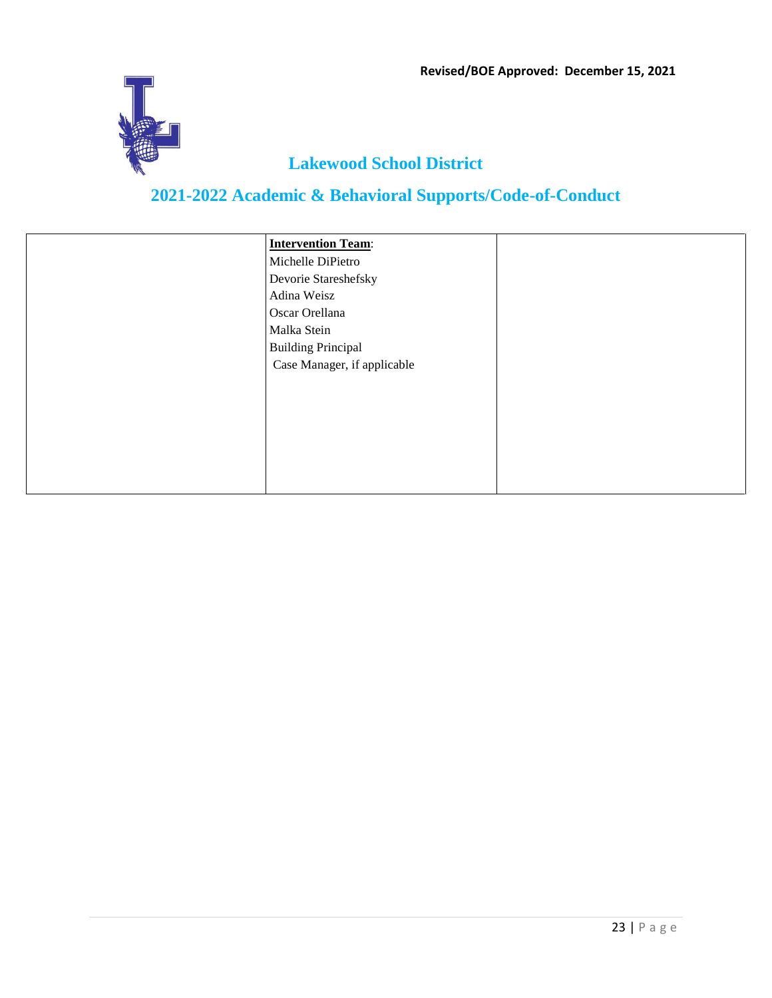

| <b>Intervention Team:</b>   |  |
|-----------------------------|--|
| Michelle DiPietro           |  |
| Devorie Stareshefsky        |  |
| Adina Weisz                 |  |
| Oscar Orellana              |  |
| Malka Stein                 |  |
| <b>Building Principal</b>   |  |
| Case Manager, if applicable |  |
|                             |  |
|                             |  |
|                             |  |
|                             |  |
|                             |  |
|                             |  |
|                             |  |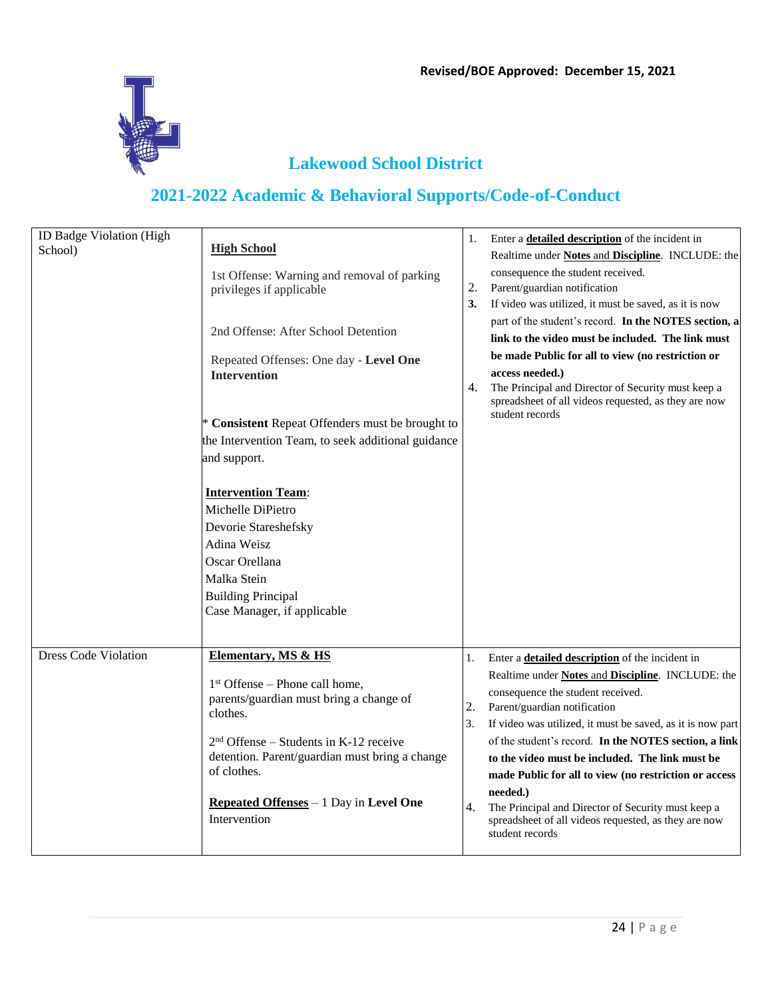

| ID Badge Violation (High<br>School) | <b>High School</b><br>1st Offense: Warning and removal of parking<br>privileges if applicable<br>2nd Offense: After School Detention<br>Repeated Offenses: One day - Level One<br><b>Intervention</b><br>* Consistent Repeat Offenders must be brought to<br>the Intervention Team, to seek additional guidance<br>and support.<br><b>Intervention Team:</b><br>Michelle DiPietro<br>Devorie Stareshefsky<br>Adina Weisz<br>Oscar Orellana<br>Malka Stein<br><b>Building Principal</b> | 1.<br>2.<br>3.<br>4. | Enter a <b>detailed description</b> of the incident in<br>Realtime under Notes and Discipline. INCLUDE: the<br>consequence the student received.<br>Parent/guardian notification<br>If video was utilized, it must be saved, as it is now<br>part of the student's record. In the NOTES section, a<br>link to the video must be included. The link must<br>be made Public for all to view (no restriction or<br>access needed.)<br>The Principal and Director of Security must keep a<br>spreadsheet of all videos requested, as they are now<br>student records         |
|-------------------------------------|----------------------------------------------------------------------------------------------------------------------------------------------------------------------------------------------------------------------------------------------------------------------------------------------------------------------------------------------------------------------------------------------------------------------------------------------------------------------------------------|----------------------|--------------------------------------------------------------------------------------------------------------------------------------------------------------------------------------------------------------------------------------------------------------------------------------------------------------------------------------------------------------------------------------------------------------------------------------------------------------------------------------------------------------------------------------------------------------------------|
| <b>Dress Code Violation</b>         | Case Manager, if applicable<br><b>Elementary, MS &amp; HS</b><br>$1st$ Offense – Phone call home,<br>parents/guardian must bring a change of<br>clothes.<br>$2nd$ Offense – Students in K-12 receive<br>detention. Parent/guardian must bring a change<br>of clothes.<br>Repeated Offenses $-1$ Day in Level One<br>Intervention                                                                                                                                                       | 1.<br>2.<br>3.<br>4. | Enter a <b>detailed description</b> of the incident in<br>Realtime under <b>Notes and Discipline</b> . INCLUDE: the<br>consequence the student received.<br>Parent/guardian notification<br>If video was utilized, it must be saved, as it is now part<br>of the student's record. In the NOTES section, a link<br>to the video must be included. The link must be<br>made Public for all to view (no restriction or access<br>needed.)<br>The Principal and Director of Security must keep a<br>spreadsheet of all videos requested, as they are now<br>student records |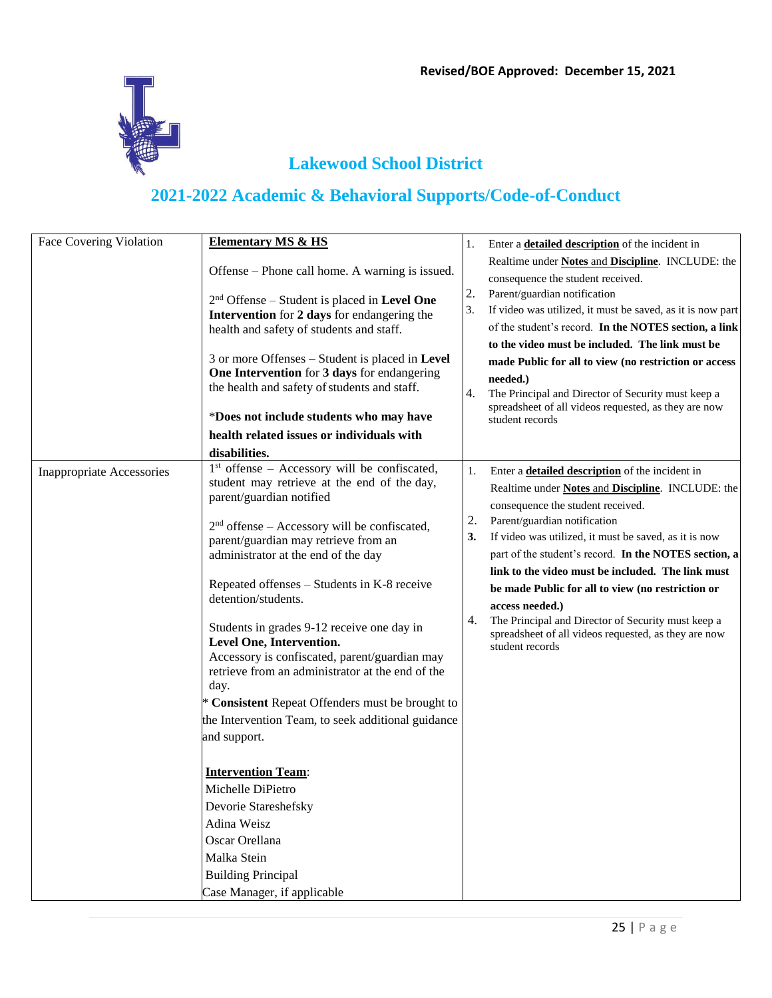

| Offense – Phone call home. A warning is issued.<br>$2nd$ Offense – Student is placed in Level One<br>Intervention for 2 days for endangering the                                                                                                                                                                                                                                                                                                                                                                                                                                                                                                                                                                                 |                             | Enter a <b>detailed description</b> of the incident in                                                                                                                                                                                                                                                                                                                                                                                                                                                                                                                   |
|----------------------------------------------------------------------------------------------------------------------------------------------------------------------------------------------------------------------------------------------------------------------------------------------------------------------------------------------------------------------------------------------------------------------------------------------------------------------------------------------------------------------------------------------------------------------------------------------------------------------------------------------------------------------------------------------------------------------------------|-----------------------------|--------------------------------------------------------------------------------------------------------------------------------------------------------------------------------------------------------------------------------------------------------------------------------------------------------------------------------------------------------------------------------------------------------------------------------------------------------------------------------------------------------------------------------------------------------------------------|
|                                                                                                                                                                                                                                                                                                                                                                                                                                                                                                                                                                                                                                                                                                                                  |                             | Realtime under Notes and Discipline. INCLUDE: the<br>consequence the student received.                                                                                                                                                                                                                                                                                                                                                                                                                                                                                   |
| health and safety of students and staff.                                                                                                                                                                                                                                                                                                                                                                                                                                                                                                                                                                                                                                                                                         | 2.<br>3.                    | Parent/guardian notification<br>If video was utilized, it must be saved, as it is now part<br>of the student's record. In the NOTES section, a link<br>to the video must be included. The link must be                                                                                                                                                                                                                                                                                                                                                                   |
| 3 or more Offenses - Student is placed in Level<br>One Intervention for 3 days for endangering<br>the health and safety of students and staff.<br>*Does not include students who may have<br>health related issues or individuals with                                                                                                                                                                                                                                                                                                                                                                                                                                                                                           | 4.                          | made Public for all to view (no restriction or access<br>needed.)<br>The Principal and Director of Security must keep a<br>spreadsheet of all videos requested, as they are now<br>student records                                                                                                                                                                                                                                                                                                                                                                       |
| $1st$ offense – Accessory will be confiscated,<br>student may retrieve at the end of the day,<br>parent/guardian notified<br>$2nd$ offense – Accessory will be confiscated,<br>parent/guardian may retrieve from an<br>administrator at the end of the day<br>Repeated offenses – Students in K-8 receive<br>detention/students.<br>Students in grades 9-12 receive one day in<br>Level One, Intervention.<br>Accessory is confiscated, parent/guardian may<br>retrieve from an administrator at the end of the<br>* Consistent Repeat Offenders must be brought to<br>the Intervention Team, to seek additional guidance<br><b>Intervention Team:</b><br>Michelle DiPietro<br>Devorie Stareshefsky<br><b>Building Principal</b> | 1.<br>2.<br>3.<br>4.        | Enter a <b>detailed description</b> of the incident in<br>Realtime under <b>Notes and Discipline</b> . INCLUDE: the<br>consequence the student received.<br>Parent/guardian notification<br>If video was utilized, it must be saved, as it is now<br>part of the student's record. In the NOTES section, a<br>link to the video must be included. The link must<br>be made Public for all to view (no restriction or<br>access needed.)<br>The Principal and Director of Security must keep a<br>spreadsheet of all videos requested, as they are now<br>student records |
|                                                                                                                                                                                                                                                                                                                                                                                                                                                                                                                                                                                                                                                                                                                                  | Case Manager, if applicable |                                                                                                                                                                                                                                                                                                                                                                                                                                                                                                                                                                          |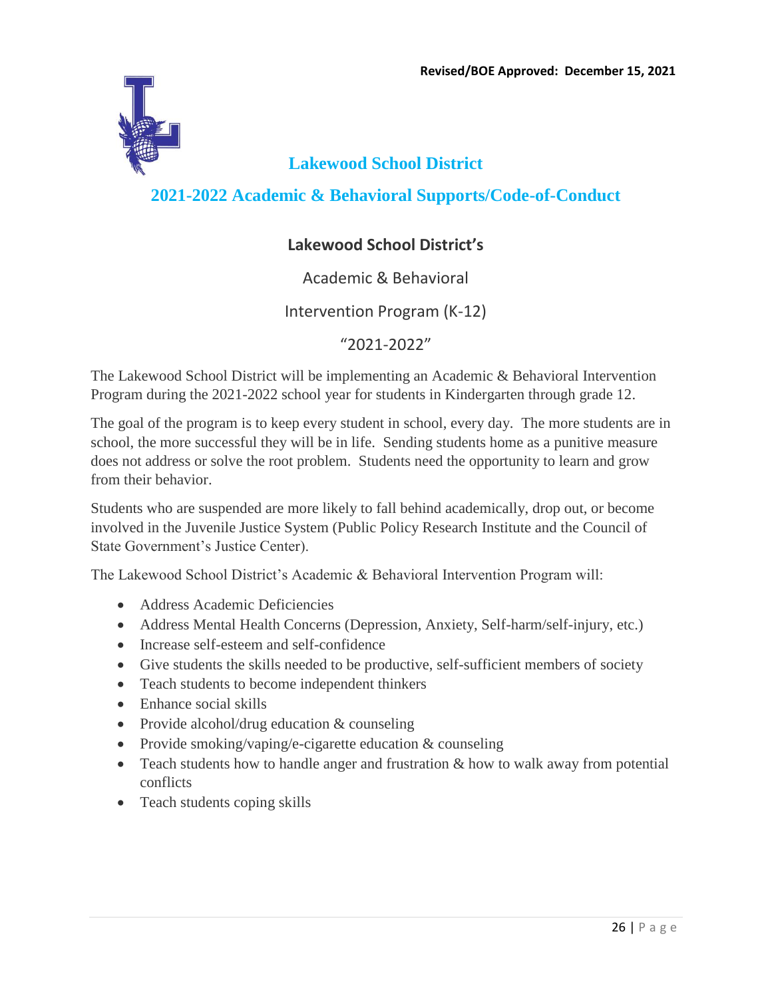

**2021-2022 Academic & Behavioral Supports/Code-of-Conduct**

#### **Lakewood School District's**

#### Academic & Behavioral

#### Intervention Program (K-12)

#### "2021-2022"

The Lakewood School District will be implementing an Academic & Behavioral Intervention Program during the 2021-2022 school year for students in Kindergarten through grade 12.

The goal of the program is to keep every student in school, every day. The more students are in school, the more successful they will be in life. Sending students home as a punitive measure does not address or solve the root problem. Students need the opportunity to learn and grow from their behavior.

Students who are suspended are more likely to fall behind academically, drop out, or become involved in the Juvenile Justice System (Public Policy Research Institute and the Council of State Government's Justice Center).

The Lakewood School District's Academic & Behavioral Intervention Program will:

- Address Academic Deficiencies
- Address Mental Health Concerns (Depression, Anxiety, Self-harm/self-injury, etc.)
- Increase self-esteem and self-confidence
- Give students the skills needed to be productive, self-sufficient members of society
- Teach students to become independent thinkers
- Enhance social skills
- Provide alcohol/drug education & counseling
- Provide smoking/vaping/e-cigarette education & counseling
- Teach students how to handle anger and frustration & how to walk away from potential conflicts
- Teach students coping skills